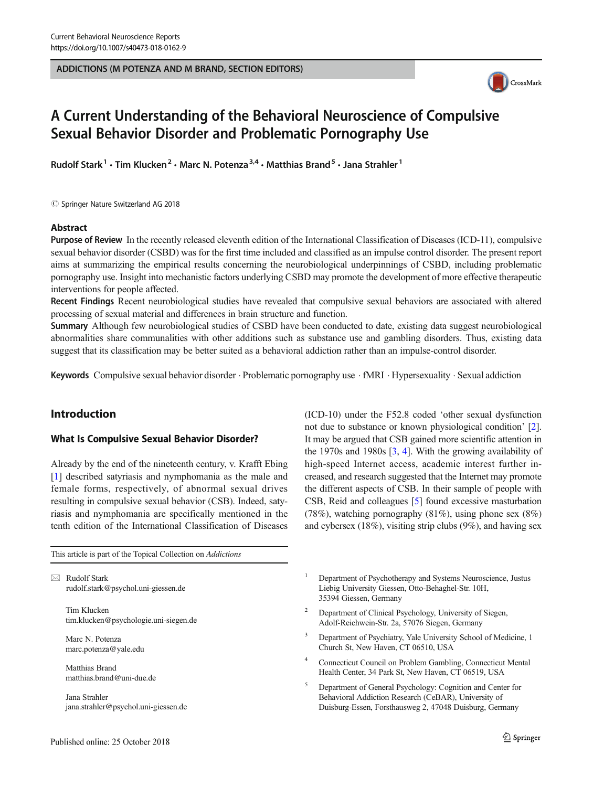#### ADDICTIONS (M POTENZA AND M BRAND, SECTION EDITORS)



# A Current Understanding of the Behavioral Neuroscience of Compulsive Sexual Behavior Disorder and Problematic Pornography Use

Rudolf Stark<sup>1</sup> • Tim Klucken<sup>2</sup> • Marc N. Potenza<sup>3,4</sup> • Matthias Brand<sup>5</sup> • Jana Strahler<sup>1</sup>

 $\copyright$  Springer Nature Switzerland AG 2018

#### Abstract

Purpose of Review In the recently released eleventh edition of the International Classification of Diseases (ICD-11), compulsive sexual behavior disorder (CSBD) was for the first time included and classified as an impulse control disorder. The present report aims at summarizing the empirical results concerning the neurobiological underpinnings of CSBD, including problematic pornography use. Insight into mechanistic factors underlying CSBD may promote the development of more effective therapeutic interventions for people affected.

Recent Findings Recent neurobiological studies have revealed that compulsive sexual behaviors are associated with altered processing of sexual material and differences in brain structure and function.

Summary Although few neurobiological studies of CSBD have been conducted to date, existing data suggest neurobiological abnormalities share communalities with other additions such as substance use and gambling disorders. Thus, existing data suggest that its classification may be better suited as a behavioral addiction rather than an impulse-control disorder.

Keywords Compulsive sexual behavior disorder  $\cdot$  Problematic pornography use  $\cdot$  fMRI  $\cdot$  Hypersexuality  $\cdot$  Sexual addiction

# Introduction

## What Is Compulsive Sexual Behavior Disorder?

Already by the end of the nineteenth century, v. Krafft Ebing [\[1](#page-9-0)] described satyriasis and nymphomania as the male and female forms, respectively, of abnormal sexual drives resulting in compulsive sexual behavior (CSB). Indeed, satyriasis and nymphomania are specifically mentioned in the tenth edition of the International Classification of Diseases

This article is part of the Topical Collection on Addictions

 $\boxtimes$  Rudolf Stark [rudolf.stark@psychol.uni-giessen.de](mailto:rudolf.stark@psychol.uni-giessen.de)

> Tim Klucken tim.klucken@psychologie.uni-siegen.de

Marc N. Potenza marc.potenza@yale.edu

Matthias Brand matthias.brand@uni-due.de

Jana Strahler jana.strahler@psychol.uni-giessen.de

Published online: 25 October 2018

(ICD-10) under the F52.8 coded 'other sexual dysfunction not due to substance or known physiological condition' [[2\]](#page-9-0). It may be argued that CSB gained more scientific attention in the 1970s and 1980s  $\left[3, 4\right]$  $\left[3, 4\right]$  $\left[3, 4\right]$  $\left[3, 4\right]$  $\left[3, 4\right]$ . With the growing availability of high-speed Internet access, academic interest further increased, and research suggested that the Internet may promote the different aspects of CSB. In their sample of people with CSB, Reid and colleagues [\[5](#page-9-0)] found excessive masturbation (78%), watching pornography (81%), using phone sex (8%) and cybersex (18%), visiting strip clubs (9%), and having sex

<sup>1</sup> Department of Psychotherapy and Systems Neuroscience, Justus Liebig University Giessen, Otto-Behaghel-Str. 10H, 35394 Giessen, Germany

- <sup>2</sup> Department of Clinical Psychology, University of Siegen, Adolf-Reichwein-Str. 2a, 57076 Siegen, Germany
- Department of Psychiatry, Yale University School of Medicine, 1 Church St, New Haven, CT 06510, USA
- <sup>4</sup> Connecticut Council on Problem Gambling, Connecticut Mental Health Center, 34 Park St, New Haven, CT 06519, USA
- <sup>5</sup> Department of General Psychology: Cognition and Center for Behavioral Addiction Research (CeBAR), University of Duisburg-Essen, Forsthausweg 2, 47048 Duisburg, Germany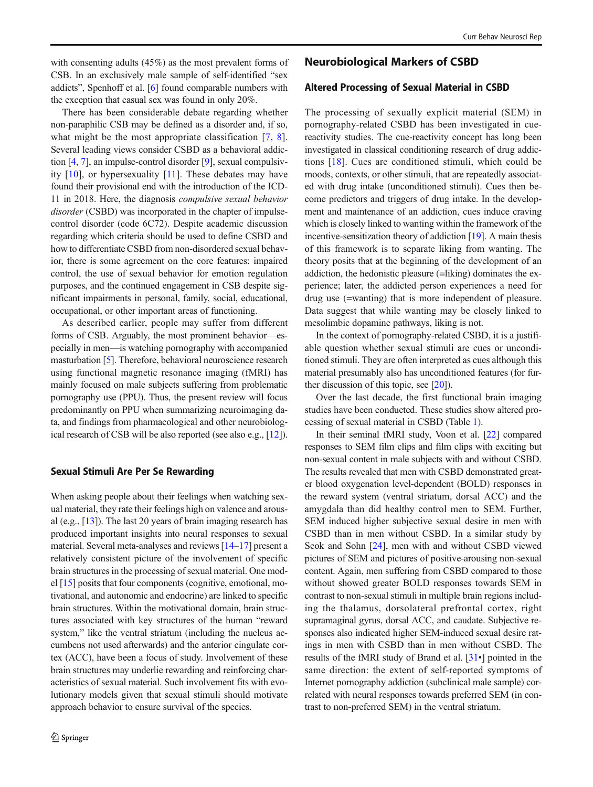with consenting adults (45%) as the most prevalent forms of CSB. In an exclusively male sample of self-identified "sex addicts", Spenhoff et al. [\[6](#page-9-0)] found comparable numbers with the exception that casual sex was found in only 20%.

There has been considerable debate regarding whether non-paraphilic CSB may be defined as a disorder and, if so, what might be the most appropriate classification [[7,](#page-9-0) [8](#page-9-0)]. Several leading views consider CSBD as a behavioral addiction [\[4](#page-9-0), [7\]](#page-9-0), an impulse-control disorder [[9\]](#page-9-0), sexual compulsivity [[10\]](#page-9-0), or hypersexuality [\[11](#page-9-0)]. These debates may have found their provisional end with the introduction of the ICD-11 in 2018. Here, the diagnosis compulsive sexual behavior disorder (CSBD) was incorporated in the chapter of impulsecontrol disorder (code 6C72). Despite academic discussion regarding which criteria should be used to define CSBD and how to differentiate CSBD from non-disordered sexual behavior, there is some agreement on the core features: impaired control, the use of sexual behavior for emotion regulation purposes, and the continued engagement in CSB despite significant impairments in personal, family, social, educational, occupational, or other important areas of functioning.

As described earlier, people may suffer from different forms of CSB. Arguably, the most prominent behavior—especially in men—is watching pornography with accompanied masturbation [[5\]](#page-9-0). Therefore, behavioral neuroscience research using functional magnetic resonance imaging (fMRI) has mainly focused on male subjects suffering from problematic pornography use (PPU). Thus, the present review will focus predominantly on PPU when summarizing neuroimaging data, and findings from pharmacological and other neurobiological research of CSB will be also reported (see also e.g., [[12](#page-9-0)]).

## Sexual Stimuli Are Per Se Rewarding

When asking people about their feelings when watching sexual material, they rate their feelings high on valence and arousal (e.g., [\[13](#page-9-0)]). The last 20 years of brain imaging research has produced important insights into neural responses to sexual material. Several meta-analyses and reviews [\[14](#page-9-0)–[17\]](#page-9-0) present a relatively consistent picture of the involvement of specific brain structures in the processing of sexual material. One model [\[15\]](#page-9-0) posits that four components (cognitive, emotional, motivational, and autonomic and endocrine) are linked to specific brain structures. Within the motivational domain, brain structures associated with key structures of the human "reward system," like the ventral striatum (including the nucleus accumbens not used afterwards) and the anterior cingulate cortex (ACC), have been a focus of study. Involvement of these brain structures may underlie rewarding and reinforcing characteristics of sexual material. Such involvement fits with evolutionary models given that sexual stimuli should motivate approach behavior to ensure survival of the species.

## Neurobiological Markers of CSBD

## Altered Processing of Sexual Material in CSBD

The processing of sexually explicit material (SEM) in pornography-related CSBD has been investigated in cuereactivity studies. The cue-reactivity concept has long been investigated in classical conditioning research of drug addictions [[18](#page-9-0)]. Cues are conditioned stimuli, which could be moods, contexts, or other stimuli, that are repeatedly associated with drug intake (unconditioned stimuli). Cues then become predictors and triggers of drug intake. In the development and maintenance of an addiction, cues induce craving which is closely linked to wanting within the framework of the incentive-sensitization theory of addiction [[19](#page-9-0)]. A main thesis of this framework is to separate liking from wanting. The theory posits that at the beginning of the development of an addiction, the hedonistic pleasure (=liking) dominates the experience; later, the addicted person experiences a need for drug use (=wanting) that is more independent of pleasure. Data suggest that while wanting may be closely linked to mesolimbic dopamine pathways, liking is not.

In the context of pornography-related CSBD, it is a justifiable question whether sexual stimuli are cues or unconditioned stimuli. They are often interpreted as cues although this material presumably also has unconditioned features (for further discussion of this topic, see  $[20]$  $[20]$ ).

Over the last decade, the first functional brain imaging studies have been conducted. These studies show altered processing of sexual material in CSBD (Table [1\)](#page-2-0).

In their seminal fMRI study, Voon et al. [[22\]](#page-9-0) compared responses to SEM film clips and film clips with exciting but non-sexual content in male subjects with and without CSBD. The results revealed that men with CSBD demonstrated greater blood oxygenation level-dependent (BOLD) responses in the reward system (ventral striatum, dorsal ACC) and the amygdala than did healthy control men to SEM. Further, SEM induced higher subjective sexual desire in men with CSBD than in men without CSBD. In a similar study by Seok and Sohn [\[24](#page-9-0)], men with and without CSBD viewed pictures of SEM and pictures of positive-arousing non-sexual content. Again, men suffering from CSBD compared to those without showed greater BOLD responses towards SEM in contrast to non-sexual stimuli in multiple brain regions including the thalamus, dorsolateral prefrontal cortex, right supramaginal gyrus, dorsal ACC, and caudate. Subjective responses also indicated higher SEM-induced sexual desire ratings in men with CSBD than in men without CSBD. The results of the fMRI study of Brand et al. [[31](#page-9-0)•] pointed in the same direction: the extent of self-reported symptoms of Internet pornography addiction (subclinical male sample) correlated with neural responses towards preferred SEM (in contrast to non-preferred SEM) in the ventral striatum.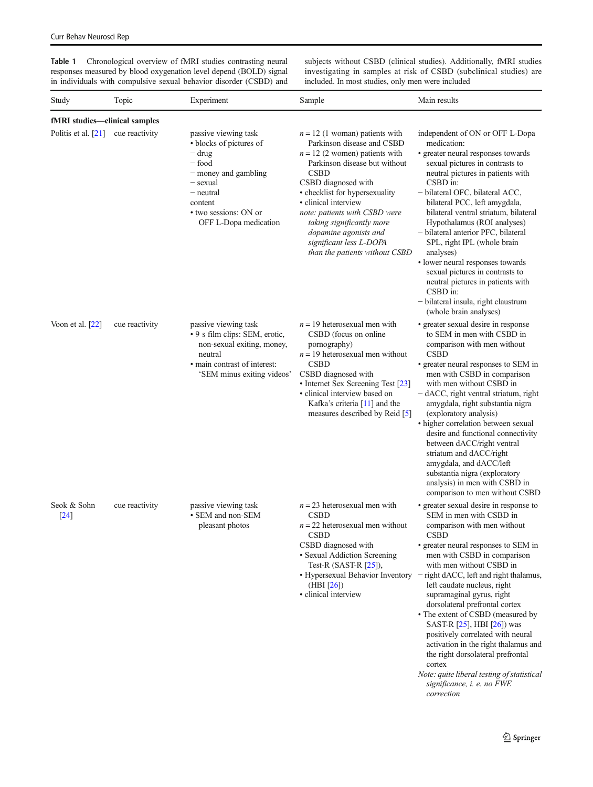<span id="page-2-0"></span>Table 1 Chronological overview of fMRI studies contrasting neural responses measured by blood oxygenation level depend (BOLD) signal in individuals with compulsive sexual behavior disorder (CSBD) and subjects without CSBD (clinical studies). Additionally, fMRI studies investigating in samples at risk of CSBD (subclinical studies) are included. In most studies, only men were included

| Study                                | Topic          | Experiment                                                                                                                                                                        | Sample                                                                                                                                                                                                                                                                                                                                                                                  | Main results                                                                                                                                                                                                                                                                                                                                                                                                                                                                                                                                                                                                                                        |
|--------------------------------------|----------------|-----------------------------------------------------------------------------------------------------------------------------------------------------------------------------------|-----------------------------------------------------------------------------------------------------------------------------------------------------------------------------------------------------------------------------------------------------------------------------------------------------------------------------------------------------------------------------------------|-----------------------------------------------------------------------------------------------------------------------------------------------------------------------------------------------------------------------------------------------------------------------------------------------------------------------------------------------------------------------------------------------------------------------------------------------------------------------------------------------------------------------------------------------------------------------------------------------------------------------------------------------------|
| fMRI studies-clinical samples        |                |                                                                                                                                                                                   |                                                                                                                                                                                                                                                                                                                                                                                         |                                                                                                                                                                                                                                                                                                                                                                                                                                                                                                                                                                                                                                                     |
| Politis et al. $[21]$ cue reactivity |                | passive viewing task<br>• blocks of pictures of<br>– drug<br>- food<br>- money and gambling<br>- sexual<br>- neutral<br>content<br>• two sessions: ON or<br>OFF L-Dopa medication | $n = 12$ (1 woman) patients with<br>Parkinson disease and CSBD<br>$n = 12$ (2 women) patients with<br>Parkinson disease but without<br><b>CSBD</b><br>CSBD diagnosed with<br>• checklist for hypersexuality<br>• clinical interview<br>note: patients with CSBD were<br>taking significantly more<br>dopamine agonists and<br>significant less L-DOPA<br>than the patients without CSBD | independent of ON or OFF L-Dopa<br>medication:<br>· greater neural responses towards<br>sexual pictures in contrasts to<br>neutral pictures in patients with<br>CSBD in:<br>- bilateral OFC, bilateral ACC,<br>bilateral PCC, left amygdala,<br>bilateral ventral striatum, bilateral<br>Hypothalamus (ROI analyses)<br>- bilateral anterior PFC, bilateral<br>SPL, right IPL (whole brain<br>analyses)<br>• lower neural responses towards<br>sexual pictures in contrasts to<br>neutral pictures in patients with<br>CSBD in:<br>- bilateral insula, right claustrum<br>(whole brain analyses)                                                    |
| Voon et al. $[22]$                   | cue reactivity | passive viewing task<br>• 9 s film clips: SEM, erotic,<br>non-sexual exiting, money,<br>neutral<br>• main contrast of interest:<br>'SEM minus exiting videos'                     | $n = 19$ heterosexual men with<br>CSBD (focus on online)<br>pornography)<br>$n = 19$ heterosexual men without<br><b>CSBD</b><br>CSBD diagnosed with<br>• Internet Sex Screening Test [23]<br>· clinical interview based on<br>Kafka's criteria [11] and the<br>measures described by Reid [5]                                                                                           | • greater sexual desire in response<br>to SEM in men with CSBD in<br>comparison with men without<br><b>CSBD</b><br>• greater neural responses to SEM in<br>men with CSBD in comparison<br>with men without CSBD in<br>- dACC, right ventral striatum, right<br>amygdala, right substantia nigra<br>(exploratory analysis)<br>• higher correlation between sexual<br>desire and functional connectivity<br>between dACC/right ventral<br>striatum and dACC/right<br>amygdala, and dACC/left<br>substantia nigra (exploratory<br>analysis) in men with CSBD in<br>comparison to men without CSBD                                                      |
| Seok & Sohn<br>$[24]$                | cue reactivity | passive viewing task<br>• SEM and non-SEM<br>pleasant photos                                                                                                                      | $n = 23$ heterosexual men with<br><b>CSBD</b><br>$n = 22$ heterosexual men without<br><b>CSBD</b><br>CSBD diagnosed with<br>· Sexual Addiction Screening<br>Test-R $(SAST-R [25])$ ,<br>• Hypersexual Behavior Inventory<br>(HBI [26])<br>· clinical interview                                                                                                                          | • greater sexual desire in response to<br>SEM in men with CSBD in<br>comparison with men without<br><b>CSBD</b><br>• greater neural responses to SEM in<br>men with CSBD in comparison<br>with men without CSBD in<br>- right dACC, left and right thalamus,<br>left caudate nucleus, right<br>supramaginal gyrus, right<br>dorsolateral prefrontal cortex<br>• The extent of CSBD (measured by<br>SAST-R [25], HBI [26]) was<br>positively correlated with neural<br>activation in the right thalamus and<br>the right dorsolateral prefrontal<br>cortex<br>Note: quite liberal testing of statistical<br>significance, i. e. no FWE<br>correction |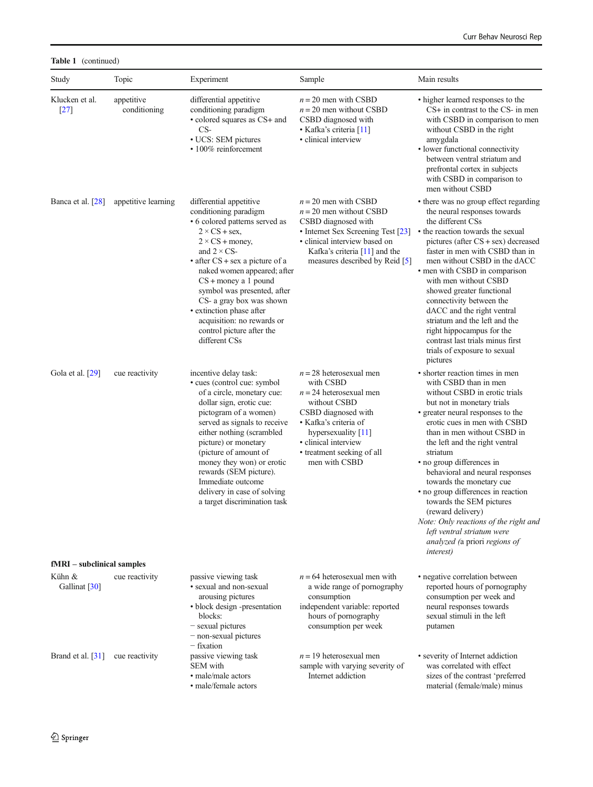Table 1 (continued)

| Study                        | Topic                      | Experiment                                                                                                                                                                                                                                                                                                                                                                                                                        | Sample                                                                                                                                                                                                                              | Main results                                                                                                                                                                                                                                                                                                                                                                                                                                                                                                                                                                              |
|------------------------------|----------------------------|-----------------------------------------------------------------------------------------------------------------------------------------------------------------------------------------------------------------------------------------------------------------------------------------------------------------------------------------------------------------------------------------------------------------------------------|-------------------------------------------------------------------------------------------------------------------------------------------------------------------------------------------------------------------------------------|-------------------------------------------------------------------------------------------------------------------------------------------------------------------------------------------------------------------------------------------------------------------------------------------------------------------------------------------------------------------------------------------------------------------------------------------------------------------------------------------------------------------------------------------------------------------------------------------|
| Klucken et al.<br>$[27]$     | appetitive<br>conditioning | differential appetitive<br>conditioning paradigm<br>• colored squares as CS+ and<br>$CS-$<br>• UCS: SEM pictures<br>· 100% reinforcement                                                                                                                                                                                                                                                                                          | $n = 20$ men with CSBD<br>$n = 20$ men without CSBD<br>CSBD diagnosed with<br>• Kafka's criteria [11]<br>• clinical interview                                                                                                       | • higher learned responses to the<br>CS+ in contrast to the CS- in men<br>with CSBD in comparison to men<br>without CSBD in the right<br>amygdala<br>• lower functional connectivity<br>between ventral striatum and<br>prefrontal cortex in subjects<br>with CSBD in comparison to<br>men without CSBD                                                                                                                                                                                                                                                                                   |
| Banca et al. [28]            | appetitive learning        | differential appetitive<br>conditioning paradigm<br>• 6 colored patterns served as<br>$2 \times CS +$ sex,<br>$2 \times CS + money$<br>and $2 \times CS$ -<br>$\bullet$ after CS + sex a picture of a<br>naked women appeared; after<br>$CS +$ money a 1 pound<br>symbol was presented, after<br>CS- a gray box was shown<br>· extinction phase after<br>acquisition: no rewards or<br>control picture after the<br>different CSs | $n = 20$ men with CSBD<br>$n = 20$ men without CSBD<br>CSBD diagnosed with<br>• Internet Sex Screening Test [23]<br>• clinical interview based on<br>Kafka's criteria $[11]$ and the<br>measures described by Reid [5]              | • there was no group effect regarding<br>the neural responses towards<br>the different CSs<br>• the reaction towards the sexual<br>pictures (after CS + sex) decreased<br>faster in men with CSBD than in<br>men without CSBD in the dACC<br>• men with CSBD in comparison<br>with men without CSBD<br>showed greater functional<br>connectivity between the<br>dACC and the right ventral<br>striatum and the left and the<br>right hippocampus for the<br>contrast last trials minus first<br>trials of exposure to sexual<br>pictures                                                  |
| Gola et al. $[29]$           | cue reactivity             | incentive delay task:<br>• cues (control cue: symbol<br>of a circle, monetary cue:<br>dollar sign, erotic cue:<br>pictogram of a women)<br>served as signals to receive<br>either nothing (scrambled<br>picture) or monetary<br>(picture of amount of<br>money they won) or erotic<br>rewards (SEM picture).<br>Immediate outcome<br>delivery in case of solving<br>a target discrimination task                                  | $n = 28$ heterosexual men<br>with CSBD<br>$n = 24$ heterosexual men<br>without CSBD<br>CSBD diagnosed with<br>• Kafka's criteria of<br>hypersexuality $[11]$<br>· clinical interview<br>• treatment seeking of all<br>men with CSBD | • shorter reaction times in men<br>with CSBD than in men<br>without CSBD in erotic trials<br>but not in monetary trials<br>• greater neural responses to the<br>erotic cues in men with CSBD<br>than in men without CSBD in<br>the left and the right ventral<br>striatum<br>• no group differences in<br>behavioral and neural responses<br>towards the monetary cue<br>• no group differences in reaction<br>towards the SEM pictures<br>(reward delivery)<br>Note: Only reactions of the right and<br>left ventral striatum were<br>analyzed (a priori regions of<br><i>interest</i> ) |
| $fMRI - subclinical samples$ |                            |                                                                                                                                                                                                                                                                                                                                                                                                                                   |                                                                                                                                                                                                                                     |                                                                                                                                                                                                                                                                                                                                                                                                                                                                                                                                                                                           |
| Kühn &<br>Gallinat [30]      | cue reactivity             | passive viewing task<br>• sexual and non-sexual<br>arousing pictures<br>• block design -presentation<br>blocks:<br>- sexual pictures<br>- non-sexual pictures<br>– fixation                                                                                                                                                                                                                                                       | $n = 64$ heterosexual men with<br>a wide range of pornography<br>consumption<br>independent variable: reported<br>hours of pornography<br>consumption per week                                                                      | · negative correlation between<br>reported hours of pornography<br>consumption per week and<br>neural responses towards<br>sexual stimuli in the left<br>putamen                                                                                                                                                                                                                                                                                                                                                                                                                          |
| Brand et al. [31]            | cue reactivity             | passive viewing task<br>SEM with<br>• male/male actors<br>• male/female actors                                                                                                                                                                                                                                                                                                                                                    | $n = 19$ heterosexual men<br>sample with varying severity of<br>Internet addiction                                                                                                                                                  | • severity of Internet addiction<br>was correlated with effect<br>sizes of the contrast 'preferred<br>material (female/male) minus                                                                                                                                                                                                                                                                                                                                                                                                                                                        |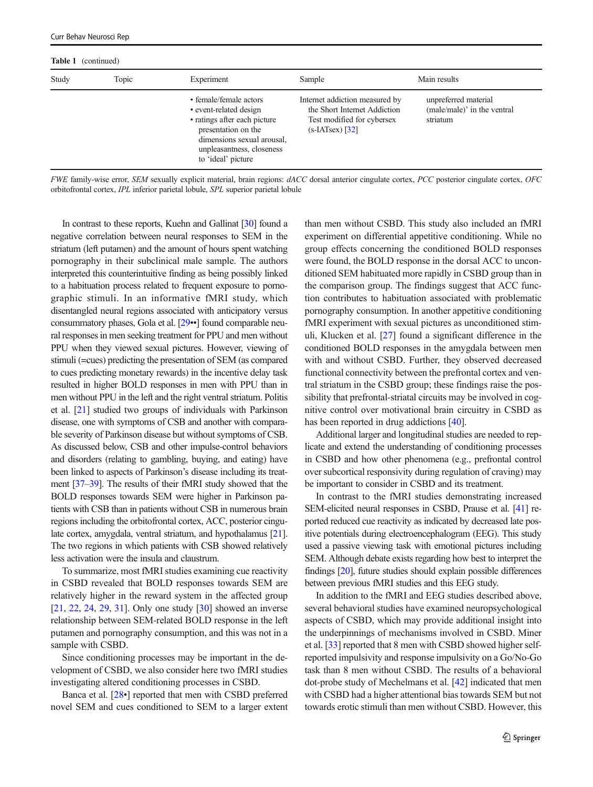| <b>Table 1</b> (continued) |       |                                                                                                                                                                                          |                                                                                                                   |                                                                 |
|----------------------------|-------|------------------------------------------------------------------------------------------------------------------------------------------------------------------------------------------|-------------------------------------------------------------------------------------------------------------------|-----------------------------------------------------------------|
| Study                      | Topic | Experiment                                                                                                                                                                               | Sample                                                                                                            | Main results                                                    |
|                            |       | • female/female actors<br>• event-related design<br>• ratings after each picture<br>presentation on the<br>dimensions sexual arousal,<br>unpleasantness, closeness<br>to 'ideal' picture | Internet addiction measured by<br>the Short Internet Addiction<br>Test modified for cybersex<br>$(s-IATsex)$ [32] | unpreferred material<br>(male/male)' in the ventral<br>striatum |

FWE family-wise error, SEM sexually explicit material, brain regions: dACC dorsal anterior cingulate cortex, PCC posterior cingulate cortex, OFC orbitofrontal cortex, IPL inferior parietal lobule, SPL superior parietal lobule

In contrast to these reports, Kuehn and Gallinat [\[30\]](#page-9-0) found a negative correlation between neural responses to SEM in the striatum (left putamen) and the amount of hours spent watching pornography in their subclinical male sample. The authors interpreted this counterintuitive finding as being possibly linked to a habituation process related to frequent exposure to pornographic stimuli. In an informative fMRI study, which disentangled neural regions associated with anticipatory versus consummatory phases, Gola et al. [[29](#page-9-0)••] found comparable neural responses in men seeking treatment for PPU and men without PPU when they viewed sexual pictures. However, viewing of stimuli (=cues) predicting the presentation of SEM (as compared to cues predicting monetary rewards) in the incentive delay task resulted in higher BOLD responses in men with PPU than in men without PPU in the left and the right ventral striatum. Politis et al. [\[21](#page-9-0)] studied two groups of individuals with Parkinson disease, one with symptoms of CSB and another with comparable severity of Parkinson disease but without symptoms of CSB. As discussed below, CSB and other impulse-control behaviors and disorders (relating to gambling, buying, and eating) have been linked to aspects of Parkinson's disease including its treatment [[37](#page-10-0)–[39](#page-10-0)]. The results of their fMRI study showed that the BOLD responses towards SEM were higher in Parkinson patients with CSB than in patients without CSB in numerous brain regions including the orbitofrontal cortex, ACC, posterior cingulate cortex, amygdala, ventral striatum, and hypothalamus [\[21\]](#page-9-0). The two regions in which patients with CSB showed relatively less activation were the insula and claustrum.

To summarize, most fMRI studies examining cue reactivity in CSBD revealed that BOLD responses towards SEM are relatively higher in the reward system in the affected group [\[21,](#page-9-0) [22](#page-9-0), [24](#page-9-0), [29,](#page-9-0) [31\]](#page-9-0). Only one study [\[30](#page-9-0)] showed an inverse relationship between SEM-related BOLD response in the left putamen and pornography consumption, and this was not in a sample with CSBD.

Since conditioning processes may be important in the development of CSBD, we also consider here two fMRI studies investigating altered conditioning processes in CSBD.

Banca et al. [[28](#page-9-0)•] reported that men with CSBD preferred novel SEM and cues conditioned to SEM to a larger extent than men without CSBD. This study also included an fMRI experiment on differential appetitive conditioning. While no group effects concerning the conditioned BOLD responses were found, the BOLD response in the dorsal ACC to unconditioned SEM habituated more rapidly in CSBD group than in the comparison group. The findings suggest that ACC function contributes to habituation associated with problematic pornography consumption. In another appetitive conditioning fMRI experiment with sexual pictures as unconditioned stimuli, Klucken et al. [[27\]](#page-9-0) found a significant difference in the conditioned BOLD responses in the amygdala between men with and without CSBD. Further, they observed decreased functional connectivity between the prefrontal cortex and ventral striatum in the CSBD group; these findings raise the possibility that prefrontal-striatal circuits may be involved in cognitive control over motivational brain circuitry in CSBD as has been reported in drug addictions [[40](#page-10-0)].

Additional larger and longitudinal studies are needed to replicate and extend the understanding of conditioning processes in CSBD and how other phenomena (e.g., prefrontal control over subcortical responsivity during regulation of craving) may be important to consider in CSBD and its treatment.

In contrast to the fMRI studies demonstrating increased SEM-elicited neural responses in CSBD, Prause et al. [\[41\]](#page-10-0) reported reduced cue reactivity as indicated by decreased late positive potentials during electroencephalogram (EEG). This study used a passive viewing task with emotional pictures including SEM. Although debate exists regarding how best to interpret the findings [\[20\]](#page-9-0), future studies should explain possible differences between previous fMRI studies and this EEG study.

In addition to the fMRI and EEG studies described above, several behavioral studies have examined neuropsychological aspects of CSBD, which may provide additional insight into the underpinnings of mechanisms involved in CSBD. Miner et al. [[33](#page-10-0)] reported that 8 men with CSBD showed higher selfreported impulsivity and response impulsivity on a Go/No-Go task than 8 men without CSBD. The results of a behavioral dot-probe study of Mechelmans et al. [\[42\]](#page-10-0) indicated that men with CSBD had a higher attentional bias towards SEM but not towards erotic stimuli than men without CSBD. However, this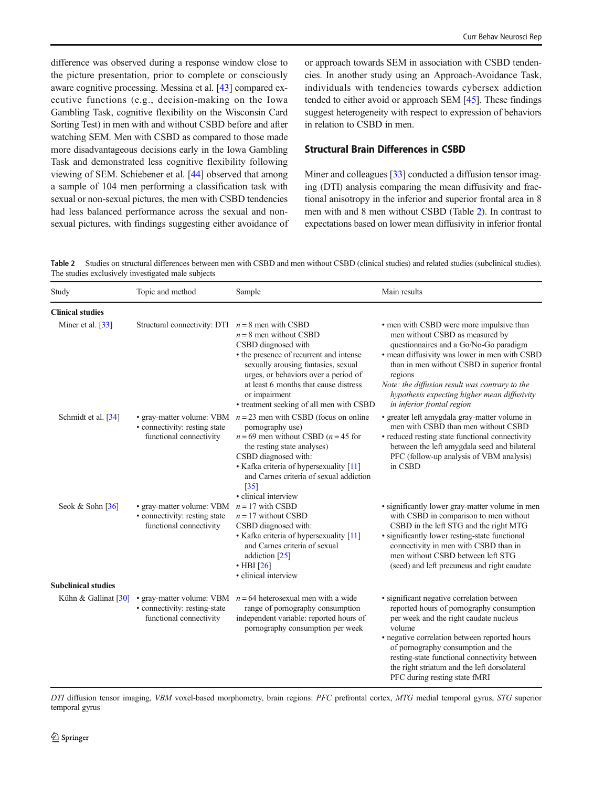difference was observed during a response window close to the picture presentation, prior to complete or consciously aware cognitive processing. Messina et al. [[43](#page-10-0)] compared executive functions (e.g., decision-making on the Iowa Gambling Task, cognitive flexibility on the Wisconsin Card Sorting Test) in men with and without CSBD before and after watching SEM. Men with CSBD as compared to those made more disadvantageous decisions early in the Iowa Gambling Task and demonstrated less cognitive flexibility following viewing of SEM. Schiebener et al. [[44\]](#page-10-0) observed that among a sample of 104 men performing a classification task with sexual or non-sexual pictures, the men with CSBD tendencies had less balanced performance across the sexual and nonsexual pictures, with findings suggesting either avoidance of or approach towards SEM in association with CSBD tendencies. In another study using an Approach-Avoidance Task, individuals with tendencies towards cybersex addiction tended to either avoid or approach SEM [[45](#page-10-0)]. These findings suggest heterogeneity with respect to expression of behaviors in relation to CSBD in men.

## Structural Brain Differences in CSBD

Miner and colleagues [[33](#page-10-0)] conducted a diffusion tensor imaging (DTI) analysis comparing the mean diffusivity and fractional anisotropy in the inferior and superior frontal area in 8 men with and 8 men without CSBD (Table 2). In contrast to expectations based on lower mean diffusivity in inferior frontal

Table 2 Studies on structural differences between men with CSBD and men without CSBD (clinical studies) and related studies (subclinical studies). The studies exclusively investigated male subjects

| Study                          | Topic and method                                                                      | Sample                                                                                                                                                                                                                                                                                                           | Main results                                                                                                                                                                                                                                                                                                                                                         |
|--------------------------------|---------------------------------------------------------------------------------------|------------------------------------------------------------------------------------------------------------------------------------------------------------------------------------------------------------------------------------------------------------------------------------------------------------------|----------------------------------------------------------------------------------------------------------------------------------------------------------------------------------------------------------------------------------------------------------------------------------------------------------------------------------------------------------------------|
| <b>Clinical studies</b>        |                                                                                       |                                                                                                                                                                                                                                                                                                                  |                                                                                                                                                                                                                                                                                                                                                                      |
| Miner et al. [33]              | Structural connectivity: DTI $n = 8$ men with CSBD                                    | $n = 8$ men without CSBD<br>CSBD diagnosed with<br>• the presence of recurrent and intense<br>sexually arousing fantasies, sexual<br>urges, or behaviors over a period of<br>at least 6 months that cause distress<br>or impairment<br>• treatment seeking of all men with CSBD                                  | • men with CSBD were more impulsive than<br>men without CSBD as measured by<br>questionnaires and a Go/No-Go paradigm<br>· mean diffusivity was lower in men with CSBD<br>than in men without CSBD in superior frontal<br>regions<br>Note: the diffusion result was contrary to the<br>hypothesis expecting higher mean diffusivity<br>in inferior frontal region    |
| Schmidt et al. [34]            | • connectivity: resting state<br>functional connectivity                              | • gray-matter volume: VBM $n = 23$ men with CSBD (focus on online<br>pornography use)<br>$n = 69$ men without CSBD ( $n = 45$ for<br>the resting state analyses)<br>CSBD diagnosed with:<br>• Kafka criteria of hypersexuality [11]<br>and Carnes criteria of sexual addiction<br>$[35]$<br>• clinical interview | • greater left amygdala gray-matter volume in<br>men with CSBD than men without CSBD<br>• reduced resting state functional connectivity<br>between the left amygdala seed and bilateral<br>PFC (follow-up analysis of VBM analysis)<br>in CSBD                                                                                                                       |
| Seok & Sohn $\lceil 36 \rceil$ | • gray-matter volume: VBM<br>• connectivity: resting state<br>functional connectivity | $n = 17$ with CSBD<br>$n = 17$ without CSBD<br>CSBD diagnosed with:<br>• Kafka criteria of hypersexuality [11]<br>and Carnes criteria of sexual<br>addiction [25]<br>$\cdot$ HBI [26]<br>· clinical interview                                                                                                    | • significantly lower gray-matter volume in men<br>with CSBD in comparison to men without<br>CSBD in the left STG and the right MTG<br>• significantly lower resting-state functional<br>connectivity in men with CSBD than in<br>men without CSBD between left STG<br>(seed) and left precuneus and right caudate                                                   |
| <b>Subclinical studies</b>     |                                                                                       |                                                                                                                                                                                                                                                                                                                  |                                                                                                                                                                                                                                                                                                                                                                      |
| Kühn & Gallinat [30]           | • gray-matter volume: VBM<br>· connectivity: resting-state<br>functional connectivity | $n = 64$ heterosexual men with a wide<br>range of pornography consumption<br>independent variable: reported hours of<br>pornography consumption per week                                                                                                                                                         | · significant negative correlation between<br>reported hours of pornography consumption<br>per week and the right caudate nucleus<br>volume<br>· negative correlation between reported hours<br>of pornography consumption and the<br>resting-state functional connectivity between<br>the right striatum and the left dorsolateral<br>PFC during resting state fMRI |

DTI diffusion tensor imaging, VBM voxel-based morphometry, brain regions: PFC prefrontal cortex, MTG medial temporal gyrus, STG superior temporal gyrus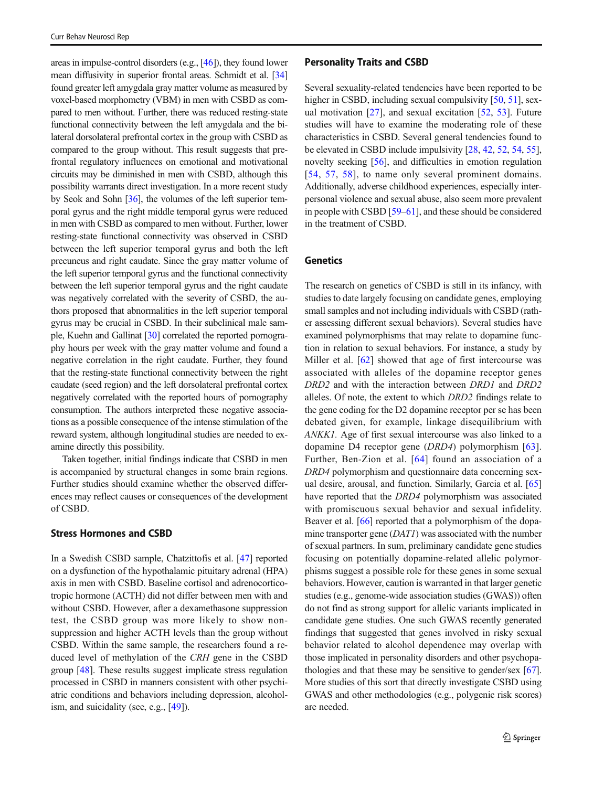areas in impulse-control disorders (e.g., [\[46](#page-10-0)]), they found lower mean diffusivity in superior frontal areas. Schmidt et al. [\[34\]](#page-10-0) found greater left amygdala gray matter volume as measured by voxel-based morphometry (VBM) in men with CSBD as compared to men without. Further, there was reduced resting-state functional connectivity between the left amygdala and the bilateral dorsolateral prefrontal cortex in the group with CSBD as compared to the group without. This result suggests that prefrontal regulatory influences on emotional and motivational circuits may be diminished in men with CSBD, although this possibility warrants direct investigation. In a more recent study by Seok and Sohn [[36](#page-10-0)], the volumes of the left superior temporal gyrus and the right middle temporal gyrus were reduced in men with CSBD as compared to men without. Further, lower resting-state functional connectivity was observed in CSBD between the left superior temporal gyrus and both the left precuneus and right caudate. Since the gray matter volume of the left superior temporal gyrus and the functional connectivity between the left superior temporal gyrus and the right caudate was negatively correlated with the severity of CSBD, the authors proposed that abnormalities in the left superior temporal gyrus may be crucial in CSBD. In their subclinical male sample, Kuehn and Gallinat [\[30\]](#page-9-0) correlated the reported pornography hours per week with the gray matter volume and found a negative correlation in the right caudate. Further, they found that the resting-state functional connectivity between the right caudate (seed region) and the left dorsolateral prefrontal cortex negatively correlated with the reported hours of pornography consumption. The authors interpreted these negative associations as a possible consequence of the intense stimulation of the reward system, although longitudinal studies are needed to examine directly this possibility.

Taken together, initial findings indicate that CSBD in men is accompanied by structural changes in some brain regions. Further studies should examine whether the observed differences may reflect causes or consequences of the development of CSBD.

## Stress Hormones and CSBD

In a Swedish CSBD sample, Chatzittofis et al. [[47\]](#page-10-0) reported on a dysfunction of the hypothalamic pituitary adrenal (HPA) axis in men with CSBD. Baseline cortisol and adrenocorticotropic hormone (ACTH) did not differ between men with and without CSBD. However, after a dexamethasone suppression test, the CSBD group was more likely to show nonsuppression and higher ACTH levels than the group without CSBD. Within the same sample, the researchers found a reduced level of methylation of the CRH gene in the CSBD group [\[48](#page-10-0)]. These results suggest implicate stress regulation processed in CSBD in manners consistent with other psychiatric conditions and behaviors including depression, alcoholism, and suicidality (see, e.g., [\[49\]](#page-10-0)).

#### Personality Traits and CSBD

Several sexuality-related tendencies have been reported to be higher in CSBD, including sexual compulsivity [[50,](#page-10-0) [51](#page-10-0)], sexual motivation [\[27](#page-9-0)], and sexual excitation [\[52](#page-10-0), [53](#page-10-0)]. Future studies will have to examine the moderating role of these characteristics in CSBD. Several general tendencies found to be elevated in CSBD include impulsivity [\[28](#page-9-0), [42,](#page-10-0) [52](#page-10-0), [54](#page-10-0), [55\]](#page-10-0), novelty seeking [[56\]](#page-10-0), and difficulties in emotion regulation [[54](#page-10-0), [57](#page-10-0), [58\]](#page-10-0), to name only several prominent domains. Additionally, adverse childhood experiences, especially interpersonal violence and sexual abuse, also seem more prevalent in people with CSBD [\[59](#page-10-0)–[61\]](#page-10-0), and these should be considered in the treatment of CSBD.

## Genetics

The research on genetics of CSBD is still in its infancy, with studies to date largely focusing on candidate genes, employing small samples and not including individuals with CSBD (rather assessing different sexual behaviors). Several studies have examined polymorphisms that may relate to dopamine function in relation to sexual behaviors. For instance, a study by Miller et al. [\[62](#page-10-0)] showed that age of first intercourse was associated with alleles of the dopamine receptor genes DRD2 and with the interaction between DRD1 and DRD2 alleles. Of note, the extent to which DRD2 findings relate to the gene coding for the D2 dopamine receptor per se has been debated given, for example, linkage disequilibrium with ANKK1. Age of first sexual intercourse was also linked to a dopamine D4 receptor gene (DRD4) polymorphism [\[63](#page-10-0)]. Further, Ben-Zion et al. [\[64\]](#page-11-0) found an association of a DRD4 polymorphism and questionnaire data concerning sexual desire, arousal, and function. Similarly, Garcia et al. [\[65](#page-11-0)] have reported that the DRD4 polymorphism was associated with promiscuous sexual behavior and sexual infidelity. Beaver et al. [[66](#page-11-0)] reported that a polymorphism of the dopamine transporter gene (DAT1) was associated with the number of sexual partners. In sum, preliminary candidate gene studies focusing on potentially dopamine-related allelic polymorphisms suggest a possible role for these genes in some sexual behaviors. However, caution is warranted in that larger genetic studies (e.g., genome-wide association studies (GWAS)) often do not find as strong support for allelic variants implicated in candidate gene studies. One such GWAS recently generated findings that suggested that genes involved in risky sexual behavior related to alcohol dependence may overlap with those implicated in personality disorders and other psychopathologies and that these may be sensitive to gender/sex [[67\]](#page-11-0). More studies of this sort that directly investigate CSBD using GWAS and other methodologies (e.g., polygenic risk scores) are needed.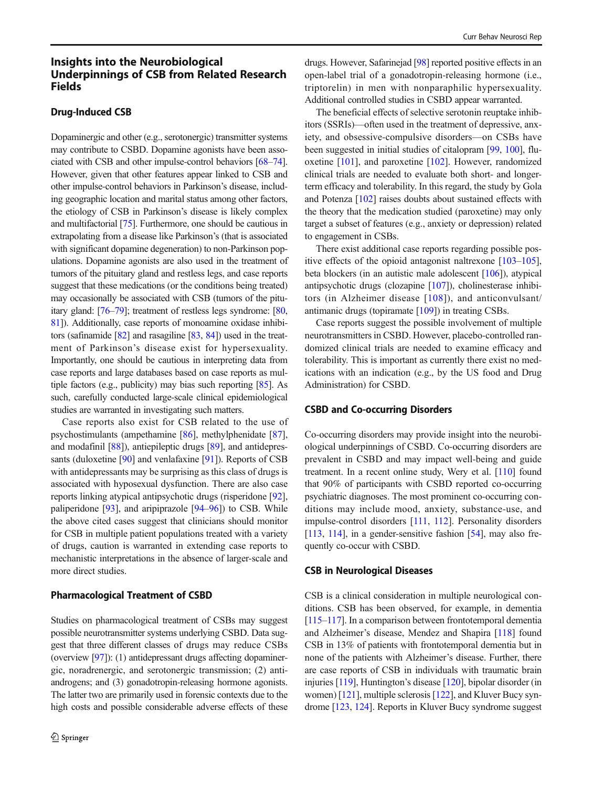# Insights into the Neurobiological Underpinnings of CSB from Related Research Fields

## Drug-Induced CSB

Dopaminergic and other (e.g., serotonergic) transmitter systems may contribute to CSBD. Dopamine agonists have been associated with CSB and other impulse-control behaviors [[68](#page-11-0)–[74\]](#page-11-0). However, given that other features appear linked to CSB and other impulse-control behaviors in Parkinson's disease, including geographic location and marital status among other factors, the etiology of CSB in Parkinson's disease is likely complex and multifactorial [\[75\]](#page-11-0). Furthermore, one should be cautious in extrapolating from a disease like Parkinson's (that is associated with significant dopamine degeneration) to non-Parkinson populations. Dopamine agonists are also used in the treatment of tumors of the pituitary gland and restless legs, and case reports suggest that these medications (or the conditions being treated) may occasionally be associated with CSB (tumors of the pituitary gland: [[76](#page-11-0)–[79\]](#page-11-0); treatment of restless legs syndrome: [\[80,](#page-11-0) [81\]](#page-11-0)). Additionally, case reports of monoamine oxidase inhibitors (safinamide [\[82](#page-11-0)] and rasagiline [\[83](#page-11-0), [84](#page-11-0)]) used in the treatment of Parkinson's disease exist for hypersexuality. Importantly, one should be cautious in interpreting data from case reports and large databases based on case reports as multiple factors (e.g., publicity) may bias such reporting [\[85\]](#page-11-0). As such, carefully conducted large-scale clinical epidemiological studies are warranted in investigating such matters.

Case reports also exist for CSB related to the use of psychostimulants (ampethamine [[86](#page-11-0)], methylphenidate [[87\]](#page-11-0), and modafinil [[88](#page-11-0)]), antiepileptic drugs [\[89\]](#page-11-0), and antidepressants (duloxetine [[90](#page-11-0)] and venlafaxine [[91\]](#page-11-0)). Reports of CSB with antidepressants may be surprising as this class of drugs is associated with hyposexual dysfunction. There are also case reports linking atypical antipsychotic drugs (risperidone [[92\]](#page-11-0), paliperidone [\[93\]](#page-11-0), and aripiprazole [\[94](#page-11-0)–[96\]](#page-11-0)) to CSB. While the above cited cases suggest that clinicians should monitor for CSB in multiple patient populations treated with a variety of drugs, caution is warranted in extending case reports to mechanistic interpretations in the absence of larger-scale and more direct studies.

#### Pharmacological Treatment of CSBD

Studies on pharmacological treatment of CSBs may suggest possible neurotransmitter systems underlying CSBD. Data suggest that three different classes of drugs may reduce CSBs (overview [\[97\]](#page-12-0)): (1) antidepressant drugs affecting dopaminergic, noradrenergic, and serotonergic transmission; (2) antiandrogens; and (3) gonadotropin-releasing hormone agonists. The latter two are primarily used in forensic contexts due to the high costs and possible considerable adverse effects of these

drugs. However, Safarinejad [[98](#page-12-0)] reported positive effects in an open-label trial of a gonadotropin-releasing hormone (i.e., triptorelin) in men with nonparaphilic hypersexuality. Additional controlled studies in CSBD appear warranted.

The beneficial effects of selective serotonin reuptake inhibitors (SSRIs)—often used in the treatment of depressive, anxiety, and obsessive-compulsive disorders—on CSBs have been suggested in initial studies of citalopram [\[99,](#page-12-0) [100\]](#page-12-0), fluoxetine [[101\]](#page-12-0), and paroxetine [\[102\]](#page-12-0). However, randomized clinical trials are needed to evaluate both short- and longerterm efficacy and tolerability. In this regard, the study by Gola and Potenza [\[102\]](#page-12-0) raises doubts about sustained effects with the theory that the medication studied (paroxetine) may only target a subset of features (e.g., anxiety or depression) related to engagement in CSBs.

There exist additional case reports regarding possible positive effects of the opioid antagonist naltrexone [\[103](#page-12-0)–[105\]](#page-12-0), beta blockers (in an autistic male adolescent [\[106\]](#page-12-0)), atypical antipsychotic drugs (clozapine [\[107](#page-12-0)]), cholinesterase inhibitors (in Alzheimer disease [[108\]](#page-12-0)), and anticonvulsant/ antimanic drugs (topiramate [\[109\]](#page-12-0)) in treating CSBs.

Case reports suggest the possible involvement of multiple neurotransmitters in CSBD. However, placebo-controlled randomized clinical trials are needed to examine efficacy and tolerability. This is important as currently there exist no medications with an indication (e.g., by the US food and Drug Administration) for CSBD.

#### CSBD and Co-occurring Disorders

Co-occurring disorders may provide insight into the neurobiological underpinnings of CSBD. Co-occurring disorders are prevalent in CSBD and may impact well-being and guide treatment. In a recent online study, Wery et al. [\[110\]](#page-12-0) found that 90% of participants with CSBD reported co-occurring psychiatric diagnoses. The most prominent co-occurring conditions may include mood, anxiety, substance-use, and impulse-control disorders [\[111,](#page-12-0) [112\]](#page-12-0). Personality disorders [\[113,](#page-12-0) [114\]](#page-12-0), in a gender-sensitive fashion  $[54]$  $[54]$  $[54]$ , may also frequently co-occur with CSBD.

#### CSB in Neurological Diseases

CSB is a clinical consideration in multiple neurological conditions. CSB has been observed, for example, in dementia [\[115](#page-12-0)–[117\]](#page-12-0). In a comparison between frontotemporal dementia and Alzheimer's disease, Mendez and Shapira [[118](#page-12-0)] found CSB in 13% of patients with frontotemporal dementia but in none of the patients with Alzheimer's disease. Further, there are case reports of CSB in individuals with traumatic brain injuries [\[119\]](#page-12-0), Huntington's disease [\[120\]](#page-12-0), bipolar disorder (in women) [\[121\]](#page-12-0), multiple sclerosis [[122](#page-12-0)], and Kluver Bucy syndrome [[123](#page-12-0), [124\]](#page-12-0). Reports in Kluver Bucy syndrome suggest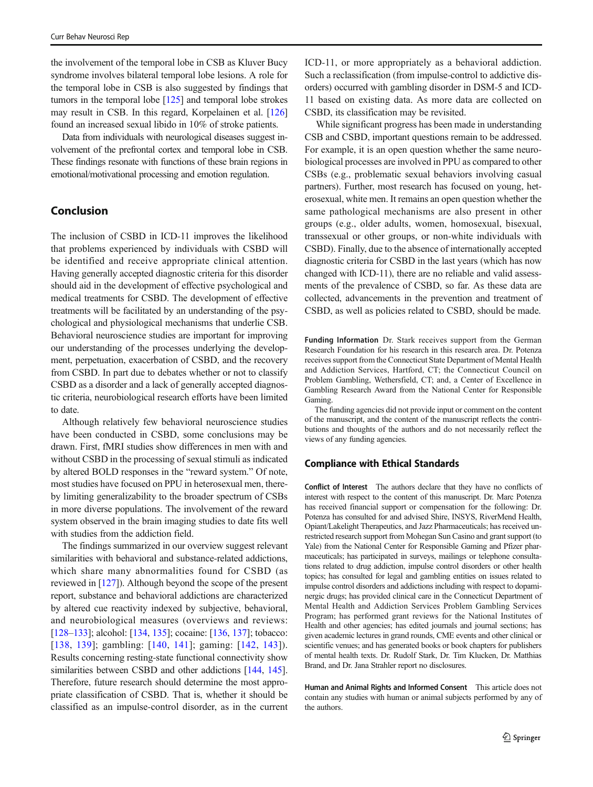the involvement of the temporal lobe in CSB as Kluver Bucy syndrome involves bilateral temporal lobe lesions. A role for the temporal lobe in CSB is also suggested by findings that tumors in the temporal lobe  $[125]$  $[125]$  $[125]$  and temporal lobe strokes may result in CSB. In this regard, Korpelainen et al. [\[126\]](#page-12-0) found an increased sexual libido in 10% of stroke patients.

Data from individuals with neurological diseases suggest involvement of the prefrontal cortex and temporal lobe in CSB. These findings resonate with functions of these brain regions in emotional/motivational processing and emotion regulation.

# Conclusion

The inclusion of CSBD in ICD-11 improves the likelihood that problems experienced by individuals with CSBD will be identified and receive appropriate clinical attention. Having generally accepted diagnostic criteria for this disorder should aid in the development of effective psychological and medical treatments for CSBD. The development of effective treatments will be facilitated by an understanding of the psychological and physiological mechanisms that underlie CSB. Behavioral neuroscience studies are important for improving our understanding of the processes underlying the development, perpetuation, exacerbation of CSBD, and the recovery from CSBD. In part due to debates whether or not to classify CSBD as a disorder and a lack of generally accepted diagnostic criteria, neurobiological research efforts have been limited to date.

Although relatively few behavioral neuroscience studies have been conducted in CSBD, some conclusions may be drawn. First, fMRI studies show differences in men with and without CSBD in the processing of sexual stimuli as indicated by altered BOLD responses in the "reward system." Of note, most studies have focused on PPU in heterosexual men, thereby limiting generalizability to the broader spectrum of CSBs in more diverse populations. The involvement of the reward system observed in the brain imaging studies to date fits well with studies from the addiction field.

The findings summarized in our overview suggest relevant similarities with behavioral and substance-related addictions, which share many abnormalities found for CSBD (as reviewed in [[127\]](#page-12-0)). Although beyond the scope of the present report, substance and behavioral addictions are characterized by altered cue reactivity indexed by subjective, behavioral, and neurobiological measures (overviews and reviews: [\[128](#page-12-0)–[133](#page-12-0)]; alcohol: [\[134](#page-12-0), [135\]](#page-13-0); cocaine: [[136](#page-13-0), [137](#page-13-0)]; tobacco: [\[138](#page-13-0), [139](#page-13-0)]; gambling: [[140,](#page-13-0) [141](#page-13-0)]; gaming: [[142](#page-13-0), [143\]](#page-13-0)). Results concerning resting-state functional connectivity show similarities between CSBD and other addictions [\[144](#page-13-0), [145\]](#page-13-0). Therefore, future research should determine the most appropriate classification of CSBD. That is, whether it should be classified as an impulse-control disorder, as in the current ICD-11, or more appropriately as a behavioral addiction. Such a reclassification (from impulse-control to addictive disorders) occurred with gambling disorder in DSM-5 and ICD-11 based on existing data. As more data are collected on CSBD, its classification may be revisited.

While significant progress has been made in understanding CSB and CSBD, important questions remain to be addressed. For example, it is an open question whether the same neurobiological processes are involved in PPU as compared to other CSBs (e.g., problematic sexual behaviors involving casual partners). Further, most research has focused on young, heterosexual, white men. It remains an open question whether the same pathological mechanisms are also present in other groups (e.g., older adults, women, homosexual, bisexual, transsexual or other groups, or non-white individuals with CSBD). Finally, due to the absence of internationally accepted diagnostic criteria for CSBD in the last years (which has now changed with ICD-11), there are no reliable and valid assessments of the prevalence of CSBD, so far. As these data are collected, advancements in the prevention and treatment of CSBD, as well as policies related to CSBD, should be made.

Funding Information Dr. Stark receives support from the German Research Foundation for his research in this research area. Dr. Potenza receives support from the Connecticut State Department of Mental Health and Addiction Services, Hartford, CT; the Connecticut Council on Problem Gambling, Wethersfield, CT; and, a Center of Excellence in Gambling Research Award from the National Center for Responsible Gaming.

The funding agencies did not provide input or comment on the content of the manuscript, and the content of the manuscript reflects the contributions and thoughts of the authors and do not necessarily reflect the views of any funding agencies.

## Compliance with Ethical Standards

Conflict of Interest The authors declare that they have no conflicts of interest with respect to the content of this manuscript. Dr. Marc Potenza has received financial support or compensation for the following: Dr. Potenza has consulted for and advised Shire, INSYS, RiverMend Health, Opiant/Lakelight Therapeutics, and Jazz Pharmaceuticals; has received unrestricted research support from Mohegan Sun Casino and grant support (to Yale) from the National Center for Responsible Gaming and Pfizer pharmaceuticals; has participated in surveys, mailings or telephone consultations related to drug addiction, impulse control disorders or other health topics; has consulted for legal and gambling entities on issues related to impulse control disorders and addictions including with respect to dopaminergic drugs; has provided clinical care in the Connecticut Department of Mental Health and Addiction Services Problem Gambling Services Program; has performed grant reviews for the National Institutes of Health and other agencies; has edited journals and journal sections; has given academic lectures in grand rounds, CME events and other clinical or scientific venues; and has generated books or book chapters for publishers of mental health texts. Dr. Rudolf Stark, Dr. Tim Klucken, Dr. Matthias Brand, and Dr. Jana Strahler report no disclosures.

Human and Animal Rights and Informed Consent This article does not contain any studies with human or animal subjects performed by any of the authors.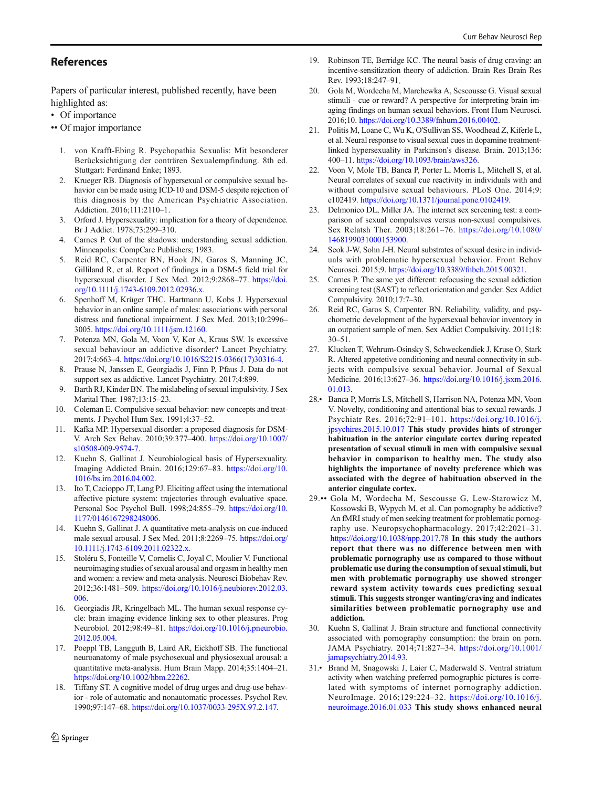## <span id="page-9-0"></span>References

Papers of particular interest, published recently, have been highlighted as:

- Of importance
- •• Of major importance
	- 1. von Krafft-Ebing R. Psychopathia Sexualis: Mit besonderer Berücksichtigung der conträren Sexualempfindung. 8th ed. Stuttgart: Ferdinand Enke; 1893.
	- 2. Krueger RB. Diagnosis of hypersexual or compulsive sexual behavior can be made using ICD-10 and DSM-5 despite rejection of this diagnosis by the American Psychiatric Association. Addiction. 2016;111:2110–1.
	- 3. Orford J. Hypersexuality: implication for a theory of dependence. Br J Addict. 1978;73:299–310.
	- 4. Carnes P. Out of the shadows: understanding sexual addiction. Minneapolis: CompCare Publishers; 1983.
	- 5. Reid RC, Carpenter BN, Hook JN, Garos S, Manning JC, Gilliland R, et al. Report of findings in a DSM-5 field trial for hypersexual disorder. J Sex Med. 2012;9:2868-77. [https://doi.](https://doi.org/10.1111/j.1743-6109.2012.02936.x) [org/10.1111/j.1743-6109.2012.02936.x.](https://doi.org/10.1111/j.1743-6109.2012.02936.x)
	- 6. Spenhoff M, Krüger THC, Hartmann U, Kobs J. Hypersexual behavior in an online sample of males: associations with personal distress and functional impairment. J Sex Med. 2013;10:2996– 3005. <https://doi.org/10.1111/jsm.12160>.
	- 7. Potenza MN, Gola M, Voon V, Kor A, Kraus SW. Is excessive sexual behaviour an addictive disorder? Lancet Psychiatry. 2017;4:663–4. [https://doi.org/10.1016/S2215-0366\(17\)30316-4.](https://doi.org/10.1016/S2215-0366(17)30316-4)
	- 8. Prause N, Janssen E, Georgiadis J, Finn P, Pfaus J. Data do not support sex as addictive. Lancet Psychiatry. 2017;4:899.
	- 9. Barth RJ, Kinder BN. The mislabeling of sexual impulsivity. J Sex Marital Ther. 1987;13:15–23.
- 10. Coleman E. Compulsive sexual behavior: new concepts and treatments. J Psychol Hum Sex. 1991;4:37–52.
- 11. Kafka MP. Hypersexual disorder: a proposed diagnosis for DSM-V. Arch Sex Behav. 2010;39:377–400. [https://doi.org/10.1007/](https://doi.org/10.1007/s10508-009-9574-7) [s10508-009-9574-7.](https://doi.org/10.1007/s10508-009-9574-7)
- 12. Kuehn S, Gallinat J. Neurobiological basis of Hypersexuality. Imaging Addicted Brain. 2016;129:67–83. [https://doi.org/10.](https://doi.org/10.1016/bs.irn.2016.04.002) [1016/bs.irn.2016.04.002.](https://doi.org/10.1016/bs.irn.2016.04.002)
- 13. Ito T, Cacioppo JT, Lang PJ. Eliciting affect using the international affective picture system: trajectories through evaluative space. Personal Soc Psychol Bull. 1998;24:855–79. [https://doi.org/10.](https://doi.org/10.1177/0146167298248006) [1177/0146167298248006](https://doi.org/10.1177/0146167298248006).
- 14. Kuehn S, Gallinat J. A quantitative meta-analysis on cue-induced male sexual arousal. J Sex Med. 2011;8:2269–75. [https://doi.org/](https://doi.org/10.1111/j.1743-6109.2011.02322.x) [10.1111/j.1743-6109.2011.02322.x.](https://doi.org/10.1111/j.1743-6109.2011.02322.x)
- 15. Stoléru S, Fonteille V, Cornelis C, Joyal C, Moulier V. Functional neuroimaging studies of sexual arousal and orgasm in healthy men and women: a review and meta-analysis. Neurosci Biobehav Rev. 2012;36:1481–509. [https://doi.org/10.1016/j.neubiorev.2012.03.](https://doi.org/10.1016/j.neubiorev.2012.03.006) [006.](https://doi.org/10.1016/j.neubiorev.2012.03.006)
- 16. Georgiadis JR, Kringelbach ML. The human sexual response cycle: brain imaging evidence linking sex to other pleasures. Prog Neurobiol. 2012;98:49–81. [https://doi.org/10.1016/j.pneurobio.](https://doi.org/10.1016/j.pneurobio.2012.05.004) [2012.05.004.](https://doi.org/10.1016/j.pneurobio.2012.05.004)
- 17. Poeppl TB, Langguth B, Laird AR, Eickhoff SB. The functional neuroanatomy of male psychosexual and physiosexual arousal: a quantitative meta-analysis. Hum Brain Mapp. 2014;35:1404–21. [https://doi.org/10.1002/hbm.22262.](https://doi.org/10.1002/hbm.22262)
- 18. Tiffany ST. A cognitive model of drug urges and drug-use behavior - role of automatic and nonautomatic processes. Psychol Rev. 1990;97:147–68. [https://doi.org/10.1037/0033-295X.97.2.147.](https://doi.org/10.1037/0033-295X.97.2.147)
- 19. Robinson TE, Berridge KC. The neural basis of drug craving: an incentive-sensitization theory of addiction. Brain Res Brain Res Rev. 1993;18:247–91.
- 20. Gola M, Wordecha M, Marchewka A, Sescousse G. Visual sexual stimuli - cue or reward? A perspective for interpreting brain imaging findings on human sexual behaviors. Front Hum Neurosci. 2016;10. <https://doi.org/10.3389/fnhum.2016.00402>.
- 21. Politis M, Loane C, Wu K, O'Sullivan SS, Woodhead Z, Kiferle L, et al. Neural response to visual sexual cues in dopamine treatmentlinked hypersexuality in Parkinson's disease. Brain. 2013;136: 400–11. <https://doi.org/10.1093/brain/aws326>.
- 22. Voon V, Mole TB, Banca P, Porter L, Morris L, Mitchell S, et al. Neural correlates of sexual cue reactivity in individuals with and without compulsive sexual behaviours. PLoS One. 2014;9: e102419. <https://doi.org/10.1371/journal.pone.0102419>.
- 23. Delmonico DL, Miller JA. The internet sex screening test: a comparison of sexual compulsives versus non-sexual compulsives. Sex Relatsh Ther. 2003;18:261–76. [https://doi.org/10.1080/](https://doi.org/10.1080/1468199031000153900) [1468199031000153900](https://doi.org/10.1080/1468199031000153900).
- 24. Seok J-W, Sohn J-H. Neural substrates of sexual desire in individuals with problematic hypersexual behavior. Front Behav Neurosci. 2015;9. <https://doi.org/10.3389/fnbeh.2015.00321>.
- 25. Carnes P. The same yet different: refocusing the sexual addiction screening test (SAST) to reflect orientation and gender. Sex Addict Compulsivity. 2010;17:7–30.
- 26. Reid RC, Garos S, Carpenter BN. Reliability, validity, and psychometric development of the hypersexual behavior inventory in an outpatient sample of men. Sex Addict Compulsivity. 2011;18: 30–51.
- 27. Klucken T, Wehrum-Osinsky S, Schweckendiek J, Kruse O, Stark R. Altered appetetive conditioning and neural connectivity in subjects with compulsive sexual behavior. Journal of Sexual Medicine. 2016;13:627–36. [https://doi.org/10.1016/j.jsxm.2016.](https://doi.org/10.1016/j.jsxm.2016.01.013) [01.013](https://doi.org/10.1016/j.jsxm.2016.01.013).
- 28.• Banca P, Morris LS, Mitchell S, Harrison NA, Potenza MN, Voon V. Novelty, conditioning and attentional bias to sexual rewards. J Psychiatr Res. 2016;72:91–101. [https://doi.org/10.1016/j.](https://doi.org/10.1016/j.jpsychires.2015.10.017) [jpsychires.2015.10.017](https://doi.org/10.1016/j.jpsychires.2015.10.017) This study provides hints of stronger habituation in the anterior cingulate cortex during repeated presentation of sexual stimuli in men with compulsive sexual behavior in comparison to healthy men. The study also highlights the importance of novelty preference which was associated with the degree of habituation observed in the anterior cingulate cortex.
- 29.•• Gola M, Wordecha M, Sescousse G, Lew-Starowicz M, Kossowski B, Wypych M, et al. Can pornography be addictive? An fMRI study of men seeking treatment for problematic pornography use. Neuropsychopharmacology. 2017;42:2021–31. <https://doi.org/10.1038/npp.2017.78> In this study the authors report that there was no difference between men with problematic pornography use as compared to those without problematic use during the consumption of sexual stimuli, but men with problematic pornography use showed stronger reward system activity towards cues predicting sexual stimuli. This suggests stronger wanting/craving and indicates similarities between problematic pornography use and addiction.
- 30. Kuehn S, Gallinat J. Brain structure and functional connectivity associated with pornography consumption: the brain on porn. JAMA Psychiatry. 2014;71:827–34. [https://doi.org/10.1001/](https://doi.org/10.1001/jamapsychiatry.2014.93) [jamapsychiatry.2014.93.](https://doi.org/10.1001/jamapsychiatry.2014.93)
- 31.• Brand M, Snagowski J, Laier C, Maderwald S. Ventral striatum activity when watching preferred pornographic pictures is correlated with symptoms of internet pornography addiction. NeuroImage. 2016;129:224–32. [https://doi.org/10.1016/j.](https://doi.org/10.1016/j.neuroimage.2016.01.033) [neuroimage.2016.01.033](https://doi.org/10.1016/j.neuroimage.2016.01.033) This study shows enhanced neural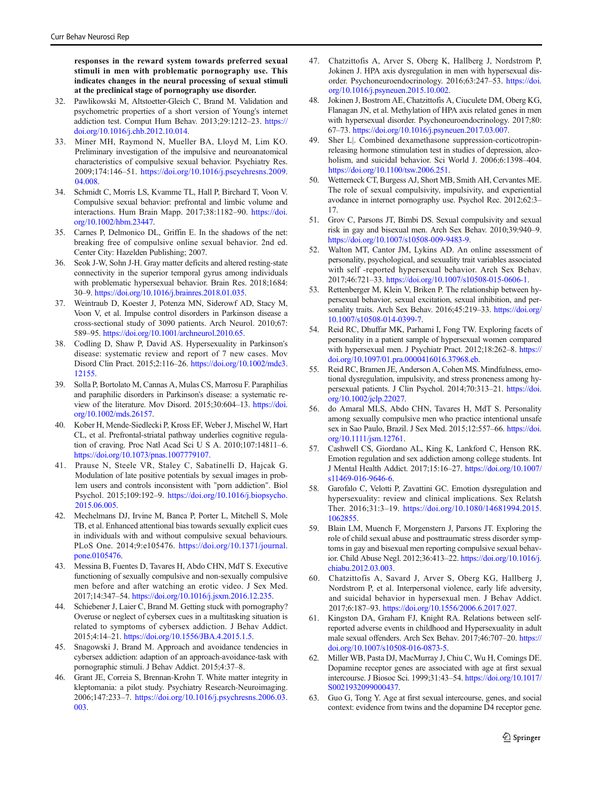<span id="page-10-0"></span>responses in the reward system towards preferred sexual stimuli in men with problematic pornography use. This indicates changes in the neural processing of sexual stimuli at the preclinical stage of pornography use disorder.

- 32. Pawlikowski M, Altstoetter-Gleich C, Brand M. Validation and psychometric properties of a short version of Young's internet addiction test. Comput Hum Behav. 2013;29:1212–23. [https://](https://doi.org/10.1016/j.chb.2012.10.014) [doi.org/10.1016/j.chb.2012.10.014](https://doi.org/10.1016/j.chb.2012.10.014).
- 33. Miner MH, Raymond N, Mueller BA, Lloyd M, Lim KO. Preliminary investigation of the impulsive and neuroanatomical characteristics of compulsive sexual behavior. Psychiatry Res. 2009;174:146–51. [https://doi.org/10.1016/j.pscychresns.2009.](https://doi.org/10.1016/j.pscychresns.2009.04.008) [04.008.](https://doi.org/10.1016/j.pscychresns.2009.04.008)
- 34. Schmidt C, Morris LS, Kvamme TL, Hall P, Birchard T, Voon V. Compulsive sexual behavior: prefrontal and limbic volume and interactions. Hum Brain Mapp. 2017;38:1182–90. [https://doi.](https://doi.org/10.1002/hbm.23447) [org/10.1002/hbm.23447.](https://doi.org/10.1002/hbm.23447)
- 35. Carnes P, Delmonico DL, Griffin E. In the shadows of the net: breaking free of compulsive online sexual behavior. 2nd ed. Center City: Hazelden Publishing; 2007.
- 36. Seok J-W, Sohn J-H. Gray matter deficits and altered resting-state connectivity in the superior temporal gyrus among individuals with problematic hypersexual behavior. Brain Res. 2018;1684: 30–9. [https://doi.org/10.1016/j.brainres.2018.01.035.](https://doi.org/10.1016/j.brainres.2018.01.035)
- 37. Weintraub D, Koester J, Potenza MN, Siderowf AD, Stacy M, Voon V, et al. Impulse control disorders in Parkinson disease a cross-sectional study of 3090 patients. Arch Neurol. 2010;67: 589–95. <https://doi.org/10.1001/archneurol.2010.65.>
- 38. Codling D, Shaw P, David AS. Hypersexuality in Parkinson's disease: systematic review and report of 7 new cases. Mov Disord Clin Pract. 2015;2:116–26. [https://doi.org/10.1002/mdc3.](https://doi.org/10.1002/mdc3.12155) [12155](https://doi.org/10.1002/mdc3.12155).
- 39. Solla P, Bortolato M, Cannas A, Mulas CS, Marrosu F. Paraphilias and paraphilic disorders in Parkinson's disease: a systematic review of the literature. Mov Disord. 2015;30:604–13. [https://doi.](https://doi.org/10.1002/mds.26157) [org/10.1002/mds.26157.](https://doi.org/10.1002/mds.26157)
- 40. Kober H, Mende-Siedlecki P, Kross EF, Weber J, Mischel W, Hart CL, et al. Prefrontal-striatal pathway underlies cognitive regulation of craving. Proc Natl Acad Sci U S A. 2010;107:14811–6. <https://doi.org/10.1073/pnas.1007779107.>
- 41. Prause N, Steele VR, Staley C, Sabatinelli D, Hajcak G. Modulation of late positive potentials by sexual images in problem users and controls inconsistent with "porn addiction". Biol Psychol. 2015;109:192–9. [https://doi.org/10.1016/j.biopsycho.](https://doi.org/10.1016/j.biopsycho.2015.06.005) [2015.06.005.](https://doi.org/10.1016/j.biopsycho.2015.06.005)
- 42. Mechelmans DJ, Irvine M, Banca P, Porter L, Mitchell S, Mole TB, et al. Enhanced attentional bias towards sexually explicit cues in individuals with and without compulsive sexual behaviours. PLoS One. 2014;9:e105476. [https://doi.org/10.1371/journal.](https://doi.org/10.1371/journal.pone.0105476) [pone.0105476](https://doi.org/10.1371/journal.pone.0105476).
- 43. Messina B, Fuentes D, Tavares H, Abdo CHN, MdT S. Executive functioning of sexually compulsive and non-sexually compulsive men before and after watching an erotic video. J Sex Med. 2017;14:347–54. [https://doi.org/10.1016/j.jsxm.2016.12.235.](https://doi.org/10.1016/j.jsxm.2016.12.235)
- 44. Schiebener J, Laier C, Brand M. Getting stuck with pornography? Overuse or neglect of cybersex cues in a multitasking situation is related to symptoms of cybersex addiction. J Behav Addict. 2015;4:14–21. <https://doi.org/10.1556/JBA.4.2015.1.5>.
- 45. Snagowski J, Brand M. Approach and avoidance tendencies in cybersex addiction: adaption of an approach-avoidance-task with pornographic stimuli. J Behav Addict. 2015;4:37–8.
- 46. Grant JE, Correia S, Brennan-Krohn T. White matter integrity in kleptomania: a pilot study. Psychiatry Research-Neuroimaging. 2006;147:233–7. [https://doi.org/10.1016/j.psychresns.2006.03.](https://doi.org/10.1016/j.psychresns.2006.03.003) [003.](https://doi.org/10.1016/j.psychresns.2006.03.003)
- 47. Chatzittofis A, Arver S, Oberg K, Hallberg J, Nordstrom P, Jokinen J. HPA axis dysregulation in men with hypersexual disorder. Psychoneuroendocrinology. 2016;63:247–53. [https://doi.](https://doi.org/10.1016/j.psyneuen.2015.10.002) [org/10.1016/j.psyneuen.2015.10.002.](https://doi.org/10.1016/j.psyneuen.2015.10.002)
- 48. Jokinen J, Bostrom AE, Chatzittofis A, Ciuculete DM, Oberg KG, Flanagan JN, et al. Methylation of HPA axis related genes in men with hypersexual disorder. Psychoneuroendocrinology. 2017;80: 67–73. [https://doi.org/10.1016/j.psyneuen.2017.03.007.](https://doi.org/10.1016/j.psyneuen.2017.03.007)
- 49. Sher L|. Combined dexamethasone suppression-corticotropinreleasing hormone stimulation test in studies of depression, alcoholism, and suicidal behavior. Sci World J. 2006;6:1398–404. <https://doi.org/10.1100/tsw.2006.251>.
- 50. Wetterneck CT, Burgess AJ, Short MB, Smith AH, Cervantes ME. The role of sexual compulsivity, impulsivity, and experiential avodance in internet pornography use. Psychol Rec. 2012;62:3– 17.
- 51. Grov C, Parsons JT, Bimbi DS. Sexual compulsivity and sexual risk in gay and bisexual men. Arch Sex Behav. 2010;39:940–9. <https://doi.org/10.1007/s10508-009-9483-9>.
- 52. Walton MT, Cantor JM, Lykins AD. An online assessment of personality, psychological, and sexuality trait variables associated with self -reported hypersexual behavior. Arch Sex Behav. 2017;46:721–33. [https://doi.org/10.1007/s10508-015-0606-1.](https://doi.org/10.1007/s10508-015-0606-1)
- 53. Rettenberger M, Klein V, Briken P. The relationship between hypersexual behavior, sexual excitation, sexual inhibition, and personality traits. Arch Sex Behav. 2016;45:219-33. [https://doi.org/](https://doi.org/10.1007/s10508-014-0399-7) [10.1007/s10508-014-0399-7](https://doi.org/10.1007/s10508-014-0399-7).
- 54. Reid RC, Dhuffar MK, Parhami I, Fong TW. Exploring facets of personality in a patient sample of hypersexual women compared with hypersexual men. J Psychiatr Pract. 2012;18:262–8. [https://](https://doi.org/10.1097/01.pra.0000416016.37968.eb) [doi.org/10.1097/01.pra.0000416016.37968.eb](https://doi.org/10.1097/01.pra.0000416016.37968.eb).
- 55. Reid RC, Bramen JE, Anderson A, Cohen MS. Mindfulness, emotional dysregulation, impulsivity, and stress proneness among hypersexual patients. J Clin Psychol. 2014;70:313–21. [https://doi.](https://doi.org/10.1002/jclp.22027) [org/10.1002/jclp.22027](https://doi.org/10.1002/jclp.22027).
- 56. do Amaral MLS, Abdo CHN, Tavares H, MdT S. Personality among sexually compulsive men who practice intentional unsafe sex in Sao Paulo, Brazil. J Sex Med. 2015;12:557–66. [https://doi.](https://doi.org/10.1111/jsm.12761) [org/10.1111/jsm.12761](https://doi.org/10.1111/jsm.12761).
- 57. Cashwell CS, Giordano AL, King K, Lankford C, Henson RK. Emotion regulation and sex addiction among college students. Int J Mental Health Addict. 2017;15:16–27. [https://doi.org/10.1007/](https://doi.org/10.1007/s11469-016-9646-6) [s11469-016-9646-6](https://doi.org/10.1007/s11469-016-9646-6).
- 58. Garofalo C, Velotti P, Zavattini GC. Emotion dysregulation and hypersexuality: review and clinical implications. Sex Relatsh Ther. 2016;31:3–19. [https://doi.org/10.1080/14681994.2015.](https://doi.org/10.1080/14681994.2015.1062855) [1062855](https://doi.org/10.1080/14681994.2015.1062855).
- 59. Blain LM, Muench F, Morgenstern J, Parsons JT. Exploring the role of child sexual abuse and posttraumatic stress disorder symptoms in gay and bisexual men reporting compulsive sexual behavior. Child Abuse Negl. 2012;36:413–22. [https://doi.org/10.1016/j.](https://doi.org/10.1016/j.chiabu.2012.03.003) [chiabu.2012.03.003.](https://doi.org/10.1016/j.chiabu.2012.03.003)
- 60. Chatzittofis A, Savard J, Arver S, Oberg KG, Hallberg J, Nordstrom P, et al. Interpersonal violence, early life adversity, and suicidal behavior in hypersexual men. J Behav Addict. 2017;6:187–93. <https://doi.org/10.1556/2006.6.2017.027>.
- 61. Kingston DA, Graham FJ, Knight RA. Relations between selfreported adverse events in childhood and Hypersexuality in adult male sexual offenders. Arch Sex Behav. 2017;46:707–20. [https://](https://doi.org/10.1007/s10508-016-0873-5) [doi.org/10.1007/s10508-016-0873-5.](https://doi.org/10.1007/s10508-016-0873-5)
- 62. Miller WB, Pasta DJ, MacMurray J, Chiu C, Wu H, Comings DE. Dopamine receptor genes are associated with age at first sexual intercourse. J Biosoc Sci. 1999;31:43–54. [https://doi.org/10.1017/](https://doi.org/10.1017/S0021932099000437) [S0021932099000437](https://doi.org/10.1017/S0021932099000437).
- 63. Guo G, Tong Y. Age at first sexual intercourse, genes, and social context: evidence from twins and the dopamine D4 receptor gene.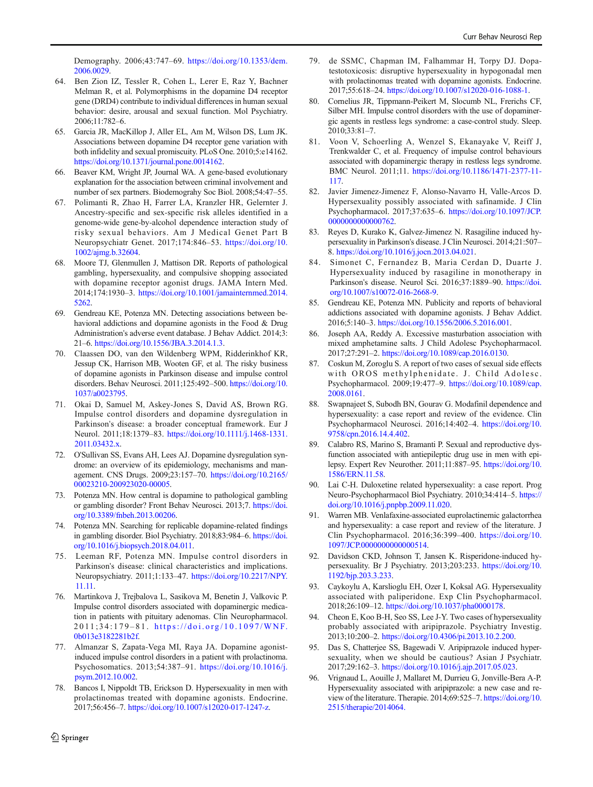<span id="page-11-0"></span>Demography. 2006;43:747–69. [https://doi.org/10.1353/dem.](https://doi.org/10.1353/dem.2006.0029) [2006.0029](https://doi.org/10.1353/dem.2006.0029).

- 64. Ben Zion IZ, Tessler R, Cohen L, Lerer E, Raz Y, Bachner Melman R, et al. Polymorphisms in the dopamine D4 receptor gene (DRD4) contribute to individual differences in human sexual behavior: desire, arousal and sexual function. Mol Psychiatry. 2006;11:782–6.
- 65. Garcia JR, MacKillop J, Aller EL, Am M, Wilson DS, Lum JK. Associations between dopamine D4 receptor gene variation with both infidelity and sexual promiscuity. PLoS One. 2010;5:e14162. <https://doi.org/10.1371/journal.pone.0014162>.
- 66. Beaver KM, Wright JP, Journal WA. A gene-based evolutionary explanation for the association between criminal involvement and number of sex partners. Biodemograhy Soc Biol. 2008;54:47–55.
- 67. Polimanti R, Zhao H, Farrer LA, Kranzler HR, Gelernter J. Ancestry-specific and sex-specific risk alleles identified in a genome-wide gene-by-alcohol dependence interaction study of risky sexual behaviors. Am J Medical Genet Part B Neuropsychiatr Genet. 2017;174:846–53. [https://doi.org/10.](https://doi.org/10.1002/ajmg.b.32604) [1002/ajmg.b.32604.](https://doi.org/10.1002/ajmg.b.32604)
- 68. Moore TJ, Glenmullen J, Mattison DR. Reports of pathological gambling, hypersexuality, and compulsive shopping associated with dopamine receptor agonist drugs. JAMA Intern Med. 2014;174:1930–3. [https://doi.org/10.1001/jamainternmed.2014.](https://doi.org/10.1001/jamainternmed.2014.5262) [5262.](https://doi.org/10.1001/jamainternmed.2014.5262)
- 69. Gendreau KE, Potenza MN. Detecting associations between behavioral addictions and dopamine agonists in the Food & Drug Administration's adverse event database. J Behav Addict. 2014;3: 21–6. [https://doi.org/10.1556/JBA.3.2014.1.3.](https://doi.org/10.1556/JBA.3.2014.1.3)
- 70. Claassen DO, van den Wildenberg WPM, Ridderinkhof KR, Jessup CK, Harrison MB, Wooten GF, et al. The risky business of dopamine agonists in Parkinson disease and impulse control disorders. Behav Neurosci. 2011;125:492–500. [https://doi.org/10.](https://doi.org/10.1037/a0023795) [1037/a0023795](https://doi.org/10.1037/a0023795).
- 71. Okai D, Samuel M, Askey-Jones S, David AS, Brown RG. Impulse control disorders and dopamine dysregulation in Parkinson's disease: a broader conceptual framework. Eur J Neurol. 2011;18:1379–83. [https://doi.org/10.1111/j.1468-1331.](https://doi.org/10.1111/j.1468-1331.2011.03432.x) [2011.03432.x](https://doi.org/10.1111/j.1468-1331.2011.03432.x).
- 72. O'Sullivan SS, Evans AH, Lees AJ. Dopamine dysregulation syndrome: an overview of its epidemiology, mechanisms and management. CNS Drugs. 2009;23:157–70. [https://doi.org/10.2165/](https://doi.org/10.2165/00023210-200923020-00005) [00023210-200923020-00005.](https://doi.org/10.2165/00023210-200923020-00005)
- Potenza MN. How central is dopamine to pathological gambling or gambling disorder? Front Behav Neurosci. 2013;7. [https://doi.](https://doi.org/10.3389/fnbeh.2013.00206) [org/10.3389/fnbeh.2013.00206](https://doi.org/10.3389/fnbeh.2013.00206).
- 74. Potenza MN. Searching for replicable dopamine-related findings in gambling disorder. Biol Psychiatry. 2018;83:984–6. [https://doi.](https://doi.org/10.1016/j.biopsych.2018.04.011) [org/10.1016/j.biopsych.2018.04.011](https://doi.org/10.1016/j.biopsych.2018.04.011).
- 75. Leeman RF, Potenza MN. Impulse control disorders in Parkinson's disease: clinical characteristics and implications. Neuropsychiatry. 2011;1:133–47. [https://doi.org/10.2217/NPY.](https://doi.org/10.2217/NPY.11.11) [11.11.](https://doi.org/10.2217/NPY.11.11)
- 76. Martinkova J, Trejbalova L, Sasikova M, Benetin J, Valkovic P. Impulse control disorders associated with dopaminergic medication in patients with pituitary adenomas. Clin Neuropharmacol. 2011;34:179 – 81. [https://doi.org/10.1097/WNF.](https://doi.org/10.1097/WNF.0b013e3182281b2f) [0b013e3182281b2f.](https://doi.org/10.1097/WNF.0b013e3182281b2f)
- 77. Almanzar S, Zapata-Vega MI, Raya JA. Dopamine agonistinduced impulse control disorders in a patient with prolactinoma. Psychosomatics. 2013;54:387–91. [https://doi.org/10.1016/j.](https://doi.org/10.1016/j.psym.2012.10.002) [psym.2012.10.002](https://doi.org/10.1016/j.psym.2012.10.002).
- 78. Bancos I, Nippoldt TB, Erickson D. Hypersexuality in men with prolactinomas treated with dopamine agonists. Endocrine. 2017;56:456–7. [https://doi.org/10.1007/s12020-017-1247-z.](https://doi.org/10.1007/s12020-017-1247-z)
- 79. de SSMC, Chapman IM, Falhammar H, Torpy DJ. Dopatestotoxicosis: disruptive hypersexuality in hypogonadal men with prolactinomas treated with dopamine agonists. Endocrine. 2017;55:618–24. [https://doi.org/10.1007/s12020-016-1088-1.](https://doi.org/10.1007/s12020-016-1088-1)
- 80. Cornelius JR, Tippmann-Peikert M, Slocumb NL, Frerichs CF, Silber MH. Impulse control disorders with the use of dopaminergic agents in restless legs syndrome: a case-control study. Sleep. 2010;33:81–7.
- 81. Voon V, Schoerling A, Wenzel S, Ekanayake V, Reiff J, Trenkwalder C, et al. Frequency of impulse control behaviours associated with dopaminergic therapy in restless legs syndrome. BMC Neurol. 2011;11. [https://doi.org/10.1186/1471-2377-11-](https://doi.org/10.1186/1471-2377-11-117) [117.](https://doi.org/10.1186/1471-2377-11-117)
- 82. Javier Jimenez-Jimenez F, Alonso-Navarro H, Valle-Arcos D. Hypersexuality possibly associated with safinamide. J Clin Psychopharmacol. 2017;37:635–6. [https://doi.org/10.1097/JCP.](https://doi.org/10.1097/JCP.0000000000000762) [0000000000000762.](https://doi.org/10.1097/JCP.0000000000000762)
- 83. Reyes D, Kurako K, Galvez-Jimenez N. Rasagiline induced hypersexuality in Parkinson's disease. J Clin Neurosci. 2014;21:507– 8. <https://doi.org/10.1016/j.jocn.2013.04.021>.
- 84. Simonet C, Fernandez B, Maria Cerdan D, Duarte J. Hypersexuality induced by rasagiline in monotherapy in Parkinson's disease. Neurol Sci. 2016;37:1889–90. [https://doi.](https://doi.org/10.1007/s10072-016-2668-9) [org/10.1007/s10072-016-2668-9](https://doi.org/10.1007/s10072-016-2668-9).
- 85. Gendreau KE, Potenza MN. Publicity and reports of behavioral addictions associated with dopamine agonists. J Behav Addict. 2016;5:140–3. <https://doi.org/10.1556/2006.5.2016.001>.
- 86. Joseph AA, Reddy A. Excessive masturbation association with mixed amphetamine salts. J Child Adolesc Psychopharmacol. 2017;27:291–2. <https://doi.org/10.1089/cap.2016.0130>.
- 87. Coskun M, Zoroglu S. A report of two cases of sexual side effects with OROS methylphenidate. J. Child Adolesc. Psychopharmacol. 2009;19:477–9. [https://doi.org/10.1089/cap.](https://doi.org/10.1089/cap.2008.0161) [2008.0161.](https://doi.org/10.1089/cap.2008.0161)
- 88. Swapnajeet S, Subodh BN, Gourav G. Modafinil dependence and hypersexuality: a case report and review of the evidence. Clin Psychopharmacol Neurosci. 2016;14:402–4. [https://doi.org/10.](https://doi.org/10.9758/cpn.2016.14.4.402) [9758/cpn.2016.14.4.402.](https://doi.org/10.9758/cpn.2016.14.4.402)
- 89. Calabro RS, Marino S, Bramanti P. Sexual and reproductive dysfunction associated with antiepileptic drug use in men with epilepsy. Expert Rev Neurother. 2011;11:887–95. [https://doi.org/10.](https://doi.org/10.1586/ERN.11.58) [1586/ERN.11.58](https://doi.org/10.1586/ERN.11.58).
- 90. Lai C-H. Duloxetine related hypersexuality: a case report. Prog Neuro-Psychopharmacol Biol Psychiatry. 2010;34:414–5. [https://](https://doi.org/10.1016/j.pnpbp.2009.11.020) [doi.org/10.1016/j.pnpbp.2009.11.020.](https://doi.org/10.1016/j.pnpbp.2009.11.020)
- 91. Warren MB. Venlafaxine-associated euprolactinemic galactorrhea and hypersexuality: a case report and review of the literature. J Clin Psychopharmacol. 2016;36:399–400. [https://doi.org/10.](https://doi.org/10.1097/JCP.0000000000000514) [1097/JCP.0000000000000514.](https://doi.org/10.1097/JCP.0000000000000514)
- 92. Davidson CKD, Johnson T, Jansen K. Risperidone-induced hypersexuality. Br J Psychiatry. 2013;203:233. [https://doi.org/10.](https://doi.org/10.1192/bjp.203.3.233) [1192/bjp.203.3.233](https://doi.org/10.1192/bjp.203.3.233).
- 93. Caykoylu A, Karslioglu EH, Ozer I, Koksal AG. Hypersexuality associated with paliperidone. Exp Clin Psychopharmacol. 2018;26:109–12. [https://doi.org/10.1037/pha0000178.](https://doi.org/10.1037/pha0000178)
- 94. Cheon E, Koo B-H, Seo SS, Lee J-Y. Two cases of hypersexuality probably associated with aripiprazole. Psychiatry Investig. 2013;10:200–2. <https://doi.org/10.4306/pi.2013.10.2.200>.
- 95. Das S, Chatterjee SS, Bagewadi V. Aripiprazole induced hypersexuality, when we should be cautious? Asian J Psychiatr. 2017;29:162–3. <https://doi.org/10.1016/j.ajp.2017.05.023>.
- 96. Vrignaud L, Aouille J, Mallaret M, Durrieu G, Jonville-Bera A-P. Hypersexuality associated with aripiprazole: a new case and review of the literature. Therapie. 2014;69:525–7. [https://doi.org/10.](https://doi.org/10.2515/therapie/2014064.) [2515/therapie/2014064.](https://doi.org/10.2515/therapie/2014064.)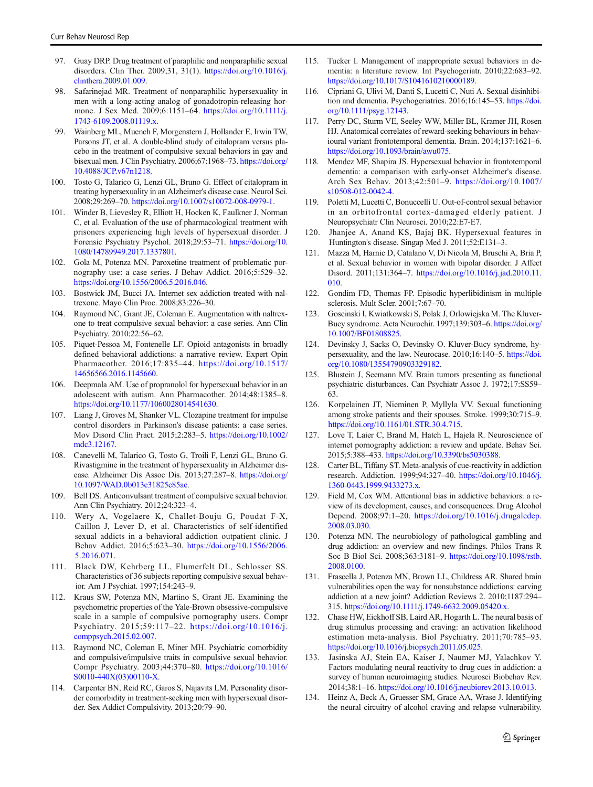- <span id="page-12-0"></span>97. Guay DRP. Drug treatment of paraphilic and nonparaphilic sexual disorders. Clin Ther. 2009;31, 31(1). [https://doi.org/10.1016/j.](https://doi.org/10.1016/j.clinthera.2009.01.009) [clinthera.2009.01.009.](https://doi.org/10.1016/j.clinthera.2009.01.009)
- 98. Safarinejad MR. Treatment of nonparaphilic hypersexuality in men with a long-acting analog of gonadotropin-releasing hormone. J Sex Med. 2009;6:1151–64. [https://doi.org/10.1111/j.](https://doi.org/10.1111/j.1743-6109.2008.01119.x) [1743-6109.2008.01119.x](https://doi.org/10.1111/j.1743-6109.2008.01119.x).
- 99. Wainberg ML, Muench F, Morgenstern J, Hollander E, Irwin TW, Parsons JT, et al. A double-blind study of citalopram versus placebo in the treatment of compulsive sexual behaviors in gay and bisexual men. J Clin Psychiatry. 2006;67:1968–73. [https://doi.org/](https://doi.org/10.4088/JCP.v67n1218) [10.4088/JCP.v67n1218.](https://doi.org/10.4088/JCP.v67n1218)
- 100. Tosto G, Talarico G, Lenzi GL, Bruno G. Effect of citalopram in treating hypersexuality in an Alzheimer's disease case. Neurol Sci. 2008;29:269–70. <https://doi.org/10.1007/s10072-008-0979-1>.
- 101. Winder B, Lievesley R, Elliott H, Hocken K, Faulkner J, Norman C, et al. Evaluation of the use of pharmacological treatment with prisoners experiencing high levels of hypersexual disorder. J Forensic Psychiatry Psychol. 2018;29:53–71. [https://doi.org/10.](https://doi.org/10.1080/14789949.2017.1337801) [1080/14789949.2017.1337801.](https://doi.org/10.1080/14789949.2017.1337801)
- 102. Gola M, Potenza MN. Paroxetine treatment of problematic pornography use: a case series. J Behav Addict. 2016;5:529–32. [https://doi.org/10.1556/2006.5.2016.046.](https://doi.org/10.1556/2006.5.2016.046)
- 103. Bostwick JM, Bucci JA. Internet sex addiction treated with naltrexone. Mayo Clin Proc. 2008;83:226–30.
- 104. Raymond NC, Grant JE, Coleman E. Augmentation with naltrexone to treat compulsive sexual behavior: a case series. Ann Clin Psychiatry. 2010;22:56–62.
- 105. Piquet-Pessoa M, Fontenelle LF. Opioid antagonists in broadly defined behavioral addictions: a narrative review. Expert Opin Pharmacother. 2016;17:835–44. [https://doi.org/10.1517/](https://doi.org/10.1517/14656566.2016.1145660) [14656566.2016.1145660.](https://doi.org/10.1517/14656566.2016.1145660)
- 106. Deepmala AM. Use of propranolol for hypersexual behavior in an adolescent with autism. Ann Pharmacother. 2014;48:1385–8. <https://doi.org/10.1177/1060028014541630>.
- 107. Liang J, Groves M, Shanker VL. Clozapine treatment for impulse control disorders in Parkinson's disease patients: a case series. Mov Disord Clin Pract. 2015;2:283–5. [https://doi.org/10.1002/](https://doi.org/10.1002/mdc3.12167) [mdc3.12167](https://doi.org/10.1002/mdc3.12167).
- 108. Canevelli M, Talarico G, Tosto G, Troili F, Lenzi GL, Bruno G. Rivastigmine in the treatment of hypersexuality in Alzheimer disease. Alzheimer Dis Assoc Dis. 2013;27:287–8. [https://doi.org/](https://doi.org/10.1097/WAD.0b013e31825c85ae) [10.1097/WAD.0b013e31825c85ae](https://doi.org/10.1097/WAD.0b013e31825c85ae).
- 109. Bell DS. Anticonvulsant treatment of compulsive sexual behavior. Ann Clin Psychiatry. 2012;24:323–4.
- 110. Wery A, Vogelaere K, Challet-Bouju G, Poudat F-X, Caillon J, Lever D, et al. Characteristics of self-identified sexual addicts in a behavioral addiction outpatient clinic. J Behav Addict. 2016;5:623–30. [https://doi.org/10.1556/2006.](https://doi.org/10.1556/2006.5.2016.071) [5.2016.071](https://doi.org/10.1556/2006.5.2016.071).
- 111. Black DW, Kehrberg LL, Flumerfelt DL, Schlosser SS. Characteristics of 36 subjects reporting compulsive sexual behavior. Am J Psychiat. 1997;154:243–9.
- 112. Kraus SW, Potenza MN, Martino S, Grant JE. Examining the psychometric properties of the Yale-Brown obsessive-compulsive scale in a sample of compulsive pornography users. Compr Psychiatry. 2015;59:117–22. [https://doi.org/10.1016/j.](https://doi.org/10.1016/j.comppsych.2015.02.007) [comppsych.2015.02.007](https://doi.org/10.1016/j.comppsych.2015.02.007).
- 113. Raymond NC, Coleman E, Miner MH. Psychiatric comorbidity and compulsive/impulsive traits in compulsive sexual behavior. Compr Psychiatry. 2003;44:370–80. [https://doi.org/10.1016/](https://doi.org/10.1016/S0010-440X(03)00110-X) [S0010-440X\(03\)00110-X.](https://doi.org/10.1016/S0010-440X(03)00110-X)
- 114. Carpenter BN, Reid RC, Garos S, Najavits LM. Personality disorder comorbidity in treatment-seeking men with hypersexual disorder. Sex Addict Compulsivity. 2013;20:79–90.
- 115. Tucker I. Management of inappropriate sexual behaviors in dementia: a literature review. Int Psychogeriatr. 2010;22:683–92. [https://doi.org/10.1017/S1041610210000189.](https://doi.org/10.1017/S1041610210000189)
- 116. Cipriani G, Ulivi M, Danti S, Lucetti C, Nuti A. Sexual disinhibition and dementia. Psychogeriatrics. 2016;16:145–53. [https://doi.](https://doi.org/10.1111/psyg.12143) [org/10.1111/psyg.12143.](https://doi.org/10.1111/psyg.12143)
- 117. Perry DC, Sturm VE, Seeley WW, Miller BL, Kramer JH, Rosen HJ. Anatomical correlates of reward-seeking behaviours in behavioural variant frontotemporal dementia. Brain. 2014;137:1621–6. <https://doi.org/10.1093/brain/awu075>.
- 118. Mendez MF, Shapira JS. Hypersexual behavior in frontotemporal dementia: a comparison with early-onset Alzheimer's disease. Arch Sex Behav. 2013;42:501–9. [https://doi.org/10.1007/](https://doi.org/10.1007/s10508-012-0042-4) [s10508-012-0042-4.](https://doi.org/10.1007/s10508-012-0042-4)
- 119. Poletti M, Lucetti C, Bonuccelli U. Out-of-control sexual behavior in an orbitofrontal cortex-damaged elderly patient. J Neuropsychiatr Clin Neurosci. 2010;22:E7-E7.
- 120. Jhanjee A, Anand KS, Bajaj BK. Hypersexual features in Huntington's disease. Singap Med J. 2011;52:E131–3.
- 121. Mazza M, Harnic D, Catalano V, Di Nicola M, Bruschi A, Bria P, et al. Sexual behavior in women with bipolar disorder. J Affect Disord. 2011;131:364–7. [https://doi.org/10.1016/j.jad.2010.11.](https://doi.org/10.1016/j.jad.2010.11.010) [010.](https://doi.org/10.1016/j.jad.2010.11.010)
- 122. Gondim FD, Thomas FP. Episodic hyperlibidinism in multiple sclerosis. Mult Scler. 2001;7:67–70.
- 123. Goscinski I, Kwiatkowski S, Polak J, Orlowiejska M. The Kluver-Bucy syndrome. Acta Neurochir. 1997;139:303–6. [https://doi.org/](https://doi.org/10.1007/BF01808825) [10.1007/BF01808825.](https://doi.org/10.1007/BF01808825)
- 124. Devinsky J, Sacks O, Devinsky O. Kluver-Bucy syndrome, hypersexuality, and the law. Neurocase. 2010;16:140–5. [https://doi.](https://doi.org/10.1080/13554790903329182) [org/10.1080/13554790903329182.](https://doi.org/10.1080/13554790903329182)
- 125. Blustein J, Seemann MV. Brain tumors presenting as functional psychiatric disturbances. Can Psychiatr Assoc J. 1972;17:SS59– 63.
- 126. Korpelainen JT, Nieminen P, Myllyla VV. Sexual functioning among stroke patients and their spouses. Stroke. 1999;30:715–9. [https://doi.org/10.1161/01.STR.30.4.715.](https://doi.org/10.1161/01.STR.30.4.715)
- 127. Love T, Laier C, Brand M, Hatch L, Hajela R. Neuroscience of internet pornography addiction: a review and update. Behav Sci. 2015;5:388–433. [https://doi.org/10.3390/bs5030388.](https://doi.org/10.3390/bs5030388)
- 128. Carter BL, Tiffany ST. Meta-analysis of cue-reactivity in addiction research. Addiction. 1999;94:327–40. [https://doi.org/10.1046/j.](https://doi.org/10.1046/j.1360-0443.1999.9433273.x) [1360-0443.1999.9433273.x.](https://doi.org/10.1046/j.1360-0443.1999.9433273.x)
- 129. Field M, Cox WM. Attentional bias in addictive behaviors: a review of its development, causes, and consequences. Drug Alcohol Depend. 2008;97:1–20. [https://doi.org/10.1016/j.drugalcdep.](https://doi.org/10.1016/j.drugalcdep.2008.03.030.) [2008.03.030.](https://doi.org/10.1016/j.drugalcdep.2008.03.030.)
- 130. Potenza MN. The neurobiology of pathological gambling and drug addiction: an overview and new findings. Philos Trans R Soc B Biol Sci. 2008;363:3181–9. [https://doi.org/10.1098/rstb.](https://doi.org/10.1098/rstb.2008.0100) [2008.0100.](https://doi.org/10.1098/rstb.2008.0100)
- 131. Frascella J, Potenza MN, Brown LL, Childress AR. Shared brain vulnerabilities open the way for nonsubstance addictions: carving addiction at a new joint? Addiction Reviews 2. 2010;1187:294– 315. <https://doi.org/10.1111/j.1749-6632.2009.05420.x>.
- 132. Chase HW, Eickhoff SB, Laird AR, Hogarth L. The neural basis of drug stimulus processing and craving: an activation likelihood estimation meta-analysis. Biol Psychiatry. 2011;70:785–93. <https://doi.org/10.1016/j.biopsych.2011.05.025>.
- 133. Jasinska AJ, Stein EA, Kaiser J, Naumer MJ, Yalachkov Y. Factors modulating neural reactivity to drug cues in addiction: a survey of human neuroimaging studies. Neurosci Biobehav Rev. 2014;38:1–16. [https://doi.org/10.1016/j.neubiorev.2013.10.013.](https://doi.org/10.1016/j.neubiorev.2013.10.013)
- 134. Heinz A, Beck A, Gruesser SM, Grace AA, Wrase J. Identifying the neural circuitry of alcohol craving and relapse vulnerability.